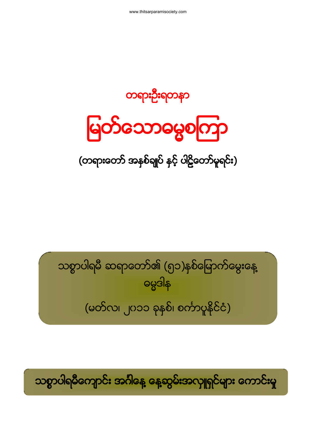#### သစ္စာပါရမီကျောင်း အင်္ဂါနေ့ နေ့ဆွမ်းအလှူရှင်များ ကောင်းမှု

သစ္စာပါရမီ ဆရာတော်၏ (၅၁)နစ်မြောက်မွေးနေ့ ဓမ္မဒါန (မတ်လ၊ ၂၀၁၁ ခုနှစ်၊ စင်္ကာပူနိုင်ငံ)

(တရားတော် အနှစ်ချုပ် နှင့် ပါဠိတော်မူရင်း)

**ြောင်သောမွေစကြာ** 

တရားဦးရတနာ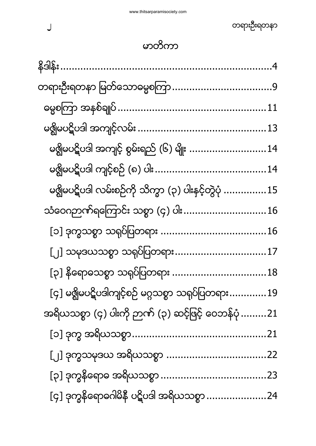| မၛွိုမပဋိပဒါ အကျင့် စွမ်းရည် (၆) မျိုး 14                  |  |
|------------------------------------------------------------|--|
|                                                            |  |
| မၛွိုမပဋိပဒါ လမ်းစဉ်ကို သိက္ခာ (၃) ပါးနှင့်တွဲပုံ 15       |  |
| သံဝေဂဉာဏ်ရကြောင်း သစ္စာ (၄) ပါး16                          |  |
|                                                            |  |
| [၂] သမုဒယသစ္စာ သရုပ်ပြတရား17                               |  |
| $\left[\mathsf{\varphi}\right]$ နိရောဓသစ္စာ သရုပ်ပြတရား 18 |  |
| [၄] မရွိမပဋိပဒါကျင့်စဉ် မဂ္ဂသစ္စာ သရုပ်ပြတရား19            |  |
| အရိယသစ္စာ (၄) ပါးကို ဉာဏ် (၃) ဆင့်ဖြင့် ဝေဘန်ပုံ 21        |  |
|                                                            |  |
|                                                            |  |
|                                                            |  |
| [၄] ဒုက္ခနိရောဓဂါမိနီ ပဋိပဒါ အရိယသစ္စာ 24                  |  |

 $\bigcup$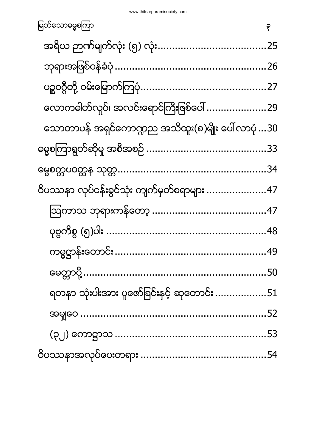| မြတ်သောဓမ္မစကြာ                                    | ۴ |
|----------------------------------------------------|---|
|                                                    |   |
|                                                    |   |
|                                                    |   |
| လောကဓါတ်လှုပ်၊ အလင်းရောင်ကြီးဖြစ်ပေါ် 29           |   |
| သောတာပန် အရှင်ကောဏ္ဍည အသိထူး(၈)မျိုး ပေါ် လာပုံ 30 |   |
|                                                    |   |
|                                                    |   |
| ဝိပဿနာ လုပ်ငန်းခွင်သုံး ကျက်မှတ်စရာများ 47         |   |
|                                                    |   |
|                                                    |   |
|                                                    |   |
|                                                    |   |
| ရတနာ သုံးပါးအား ပူဇော်ခြင်းနှင့် ဆုတောင်း 51       |   |
|                                                    |   |
|                                                    |   |
|                                                    |   |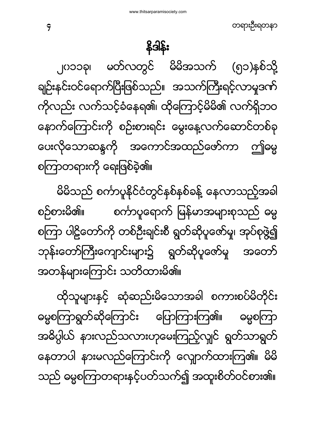ထိုသူများနှင့် ဆုံဆည်းမိသောအခါ စကားစပ်မိတိုင်း ဓမ္မစကြာရွတ်ဆိုကြောင်း ပြောကြားကြ၏။ ဓမ္မစကြာ အဓိပ္ပါယ် နားလည်သလားဟုမေးကြည့်လျင် ရွတ်သာရွတ် နေတာပါ နားမလည်ကြောင်းကို လျောက်ထားကြ၏။ မိမိ သည် ဓမ္မစကြာတရားနင့်ပတ်သက်၍ အထူးစိတ်ဝင်စား၏။

မိမိသည် စင်္ကာပူနိုင်ငံတွင်နစ်နစ်ခန့် နေလာသည့်အခါ စဉ်စားမိ၏။ စင်္ကာပူရောက် မြန်မာအများစုသည် ဓမ္မ စကြာ ပါဠိတော်ကို တစ်ဦးချင်းစီ ရွတ်ဆိုပူဇော်မူ၊ အုပ်စုဖွဲ့၍ ဘုန်းတော်ကြီးကျောင်းများ၌ ရွတ်ဆိုပူဇော်မှု အတော် အတန်များကြောင်း သတိထားမိ၏။

<span id="page-3-0"></span>၂၀၁၁ခု၊ မတ်လတွင် မိမိအသက် (၅၁)နစ်သို့ ချဉ်းနင်းဝင်ရောက်ပြီးဖြစ်သည်။ အသက်ကြီးရင့်လာမှုဒဏ် ကိုလည်း လက်သင့်ခံနေရ၏၊ ထိုကြောင့်မိမိ၏ လက်ရှိဘဝ နောက်ကြောင်းကို စဉ်းစားရင်း မွေးနေ့လက်ဆောင်တစ်ခု ပေးလိုသောဆန္ဒကို အကောင်အထည်ဖော်ကာ ဤဓမ္မ စကြာတရားကို ရေးဖြစ်ခဲ့၏။

န္ဒဒါန်း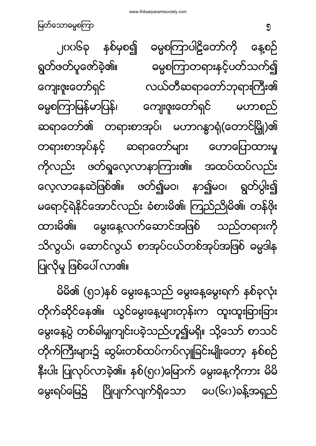မိမိ၏ (၅၁)နစ် မွေးနေ့သည် မွေးနေ့မွေးရက် နှစ်ခုလုံး တိုက်ဆိုင်နေ၏။ ယွင်မွေးနေ့များတုန်းက ထူးထူးခြားခြား မွေးနေ့ပွဲ တစ်ခါမျှကျင်းပခဲ့သည်ဟူ၍မရှိ။ သို့သော် စာသင် တိုက်ကြီးများ၌ ဆွမ်းတစ်ထပ်ကပ်လှူခြင်းမျိုးတော့ နှစ်စဉ် နိုးပါး ပြုလုပ်လာခဲ့၏။ နစ်(၅၀)မြောက် မွေးနေ့ကိုကား မိမိ မွေးရပ်မြေ၌ ပြိုပျက်လျက်ရှိသော ပေ(၆၀)ခန့်အရှည်

၂၀၀၆ခု နှစ်မှစ၍ ဓမ္မစကြာပါဠိတော်ကို နေ့စဉ် ရွတ်ဖတ်ပူဇော်ခဲ့၏။ ဓမ္မစကြာတရားနှင့်ပတ်သက်၍ ကျေးဇူးတော်ရှင် လယ်တီဆရာတော်ဘုရားကြီး၏ ဓမ္မစကြာမြန်မာပြန်၊ ကျေးဇူးတော်ရှင် မဟာစည် ဆရာတော်၏ တရားစာအုပ်၊ မဟာဂန္ဓာရုံ(တောင်မြှို)၏ တရားစာအုပ်နှင့် ဆရာတော်များ ဟောပြောထားမှု ကိုလည်း ဖတ်ရှုလေ့လာနာကြား၏။ အထပ်ထပ်လည်း လေ့လာနေဆဲဖြစ်၏။ ဖတ်၍မဝ၊ နာ၍မဝ၊ ရွတ်ပွါး၍ မရောင့်ရဲနိုင်အောင်လည်း ခံစားမိ၏၊ ကြည်ညိုမိ၏၊ တန်ဖိုး ထားမိ၏။ မွေးနေ့လက်ဆောင်အဖြစ် သည်တရားကို သိလွယ်၊ ဆောင်လွယ် စာအုပ်ငယ်တစ်အုပ်အဖြစ် ဓမ္မဒါန ပြုလိုမှု ဖြစ်ပေါ် လာ၏။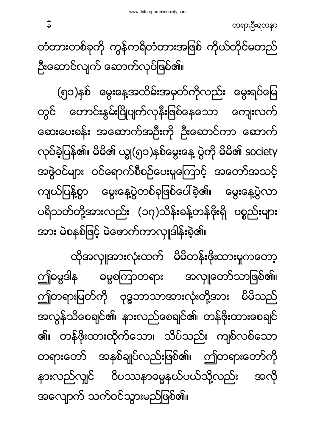ထိုအလှူအားလုံးထက် မိမိတန်းဖိုးထားမှုကတော့ ဤဓမ္မဒါန ဓမ္မစကြာတရား အလျ၊တော်သာဖြစ်၏။ ဤတရားမြတ်ကို ဗုဒ္ဓဘာသာအားလုံးတို့အား မိမိသည် အလွန်သိစေချင်၏၊ နားလည်စေချင်၏၊ တန်ဖိုးထားစေချင် ၏။ တန်ဖိုးထားထိုက်သော၊ သိပ်သည်း ကျစ်လစ်သော တရားတော် အနှစ်ချုပ်လည်းဖြစ်၏။ ဤတရားတော်ကို နားလည်လျှင် ဝိပဿနာဓမ္မနယ်ပယ်သို့လည်း အလို အလျောက် သက်ဝင်သွားမည်ဖြစ်၏။

(၅၁)နစ် မွေးနေ့အထိမ်းအမှတ်ကိုလည်း မွေးရပ်မြေ တွင် ဟောင်းနွမ်းပြိုပျက်လုနီးဖြစ်နေသော ကျေးလက် ဆေးပေးခန်း အဆောက်အဦးကို ဦးဆောင်ကာ ဆောက် လုပ်ခဲ့ပြန်၏။ မိမိ၏ ယျွ(၅၁)နှစ်မွေးနေ့ ပွဲကို မိမိ၏ society အဖွဲဝင်များ ဝင်ရောက်စီစဉ်ပေးမှုကြောင့် အတော်အသင့် ကျယ်ပြန့်စွာ မွေးနေ့ပွဲတစ်ခုဖြစ်ပေါ်ခဲ့၏။ မွေးနေ့ပွဲလာ ပရိသတ်တို့အားလည်း (၁၇)သိန်းခန့်တန်ဖိုးရှိ ပစ္စည်းများ အား မဲစနစ်ဖြင့် မဲဖောက်ကာလှုုဒါန်းခဲ့၏။

တံတားတစ်ခုကို ကွန်ကရိတံတားအဖြစ် ကိုယ်တိုင်မတည် ဦးဆောင်လျက် ဆောက်လုပ်ဖြစ်၏။

တရားဦးရတနာ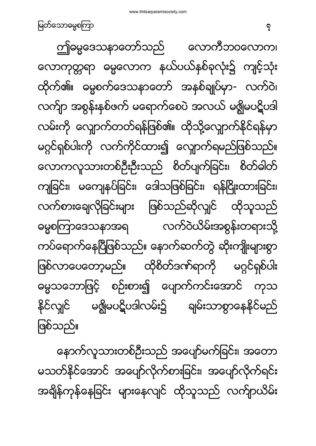နောက်လူသားတစ်ဦးသည် အပျော်မက်ခြင်း၊ အတော မသတ်နိုင်အောင် အပျော်လိုက်စားခြင်း၊ အပျော်လိုက်ရင်း အချိန်ကုန်နေခြင်း များနေလျင် ထိုသူသည် လက်ျာယိမ်း

ဤဓမ္မဒေသနာတော်သည် လောကီဘဝလောက၊ လောကုတ္တရာ ဓမ္မလောက နယ်ပယ်နစ်ခုလုံး၌ ကျင့်သုံး ထိုက်၏။ ဓမ္မစက်ဒေသနာတော် အနစ်ချုပ်မှာ- လက်ဝဲ၊ လက်ျာ အစွန်းနစ်ဖက် မရောက်စေပဲ အလယ် မရွိမပဋိပဒါ လမ်းကို လျှောက်တတ်ရန်ဖြစ်၏။ ထိုသို့လျှောက်နိုင်ရန်မှာ မဂ္ဂင်ရှစ်ပါးကို လက်ကိုင်ထား၍ လျောက်ရမည်ဖြစ်သည်။ လောကလူသားတစ်ဦးဦးသည် စိတ်ပျက်ခြင်း၊ စိတ်ဓါတ် ကျခြင်း၊ မကျေနပ်ခြင်း၊ ဒေါသဖြစ်ခြင်း၊ ရန်ငြိုးထားခြင်း၊ လက်စားချေလိုခြင်းများ ဖြစ်သည်ဆိုလျှင် ထိုသူသည် ဓမ္မစကြာဒေသနာအရ လက်ဝဲယိမ်းအစွန်းတရားသို့ ကပ်ရောက်နေပြီဖြစ်သည်။ နောက်ဆက်တွဲ ဆိုးကျိုးများစွာ ဖြစ်လာပေတော့မည်။ ထိုစိတ်ဒဏ်ရာကို မဂ္ဂင်ရှစ်ပါး ဓမ္မသဘောဖြင့် စဉ်းစား၍ ပျောက်ကင်းအောင် ကုသ နိုင်လျင် မဇ္ဈိမပဋိပဒါလမ်း၌ ချမ်းသာစွာနေနိုင်မည် ဖြစ်သည်။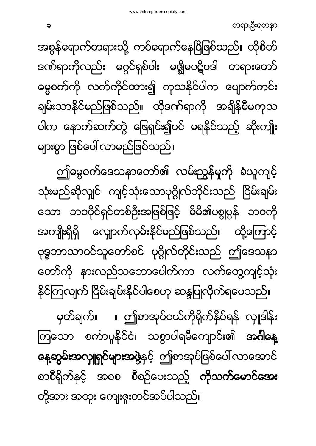မှတ်ချက်။ ။ ဤစာအုပ်ငယ်ကိုရိုက်နိပ်ရန် လှူဒါန်း ကြသော စင်္ကာပူနိုင်ငံ၊ သစ္စာပါရမီကျောင်း၏ **အင်္ဂါနေ့ နေ့ဆွမ်းအလှူရှင်များအဖွဲ့**နှင့် ဤစာအုပ်ဖြစ်ပေါ် လာအောင် စာစီရိုက်နှင့် အစစ စီစဉ်ပေးသည့် **ကိုသက်မောင်အေး** တို့အား အထူး ကျေးဇူးတင်အပ်ပါသည်။

ဤဓမ္မစက်ဒေသနာတော်၏ လမ်းညွှန်မှုကို ခံယူကျင့် သုံးမည်ဆိုလျှင် ကျင့်သုံးသောပုဂ္ဂိုလ်တိုင်းသည် ငြိမ်းချမ်း သော ဘဝပိုင်ရှင်တစ်ဦးအဖြစ်ဖြင့် မိမိ၏ပစ္စုပ္ပန် ဘဝကို အကျိုးရှိရှိ လျောက်လှမ်းနိုင်မည်ဖြစ်သည်။ ထို့ကြောင့် ဗုဒ္ဓဘာသာဝင်သူတော်စင် ပုဂ္ဂိုလ်တိုင်းသည် ဤဒေသနာ တော်ကို နားလည်သဘောပေါက်ကာ လက်တွေ့ကျင့်သုံး နိုင်ကြလျက် ငြိမ်းချမ်းနိုင်ပါစေဟု ဆန္ဒပြုလိုက်ရပေသည်။

အစွန်ရောက်တရားသို့ ကပ်ရောက်နေပြီဖြစ်သည်။ ထိုစိတ် ဒဏ်ရာကိုလည်း မဂ္ဂင်ရှစ်ပါး မဇ္ဈိမပဋိပဒါ တရားတော် ဓမ္မစက်ကို လက်ကိုင်ထား၍ ကုသနိုင်ပါက ပျောက်ကင်း ချမ်းသာနိုင်မည်ဖြစ်သည်။ ထိုဒဏ်ရာကို အချိန်မီမကုသ ပါက နောက်ဆက်တွဲ ဖြေရှင်း၍ပင် မရနိုင်သည့် ဆိုးကျိုး များစွာ ဖြစ်ပေါ် လာမည်ဖြစ်သည်။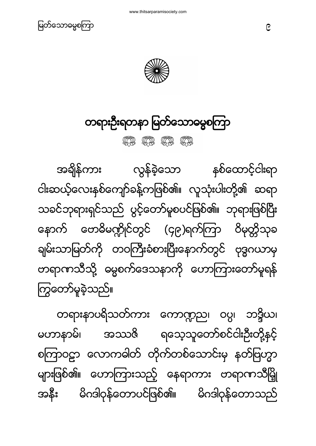



#### <span id="page-8-0"></span>တရားဦးရတနာ မြတ်သောဓမ္မစကြာ

HE HE HE HE

အချိန်ကား လွန်ခဲ့သော နစ်ထောင့်ငါးရာ ငါးဆယ့်လေးနှစ်ကျော်ခန့်ကဖြစ်၏။ လူသုံးပါးတို့၏ ဆရာ သခင်ဘုရားရှင်သည် ပွင့်တော်မူစပင်ဖြစ်၏။ ဘုရားဖြစ်ပြီး နောက် ဗောဓိမဏ္ဍိုင်တွင် (၄၉)ရက်ကြာ ဝိမုတ္တိသုခ ချမ်းသာမြတ်ကို တဝကြီးခံစားပြီးနောက်တွင် ဗုဒ္ဓဂယာမှ တရာဏသီသို့ ဓမ္မစက်ဒေသနာကို ဟောကြားတော်မူရန် ကြွတော်မူခဲ့သည်။

တရားနာပရိသတ်ကား ကောဏ္ဍည၊ ဝပ္ပ၊ ဘဒ္ဒိယ၊ မဟာနာမ်၊ အဿဇိ ရသေ့သူတော်စင်ငါးဦးတို့နှင့် စကြာဝဠာ လောကဓါတ် တိုက်တစ်သောင်းမှ နတ်ဗြဟ္မာ များဖြစ်၏။ ဟောကြားသည့် နေရာကား ဗာရာဏသီမြို အနီး မိဂဒါဝှန်တောပင်ဖြစ်၏။ မိဂဒါဝှန်တောသည်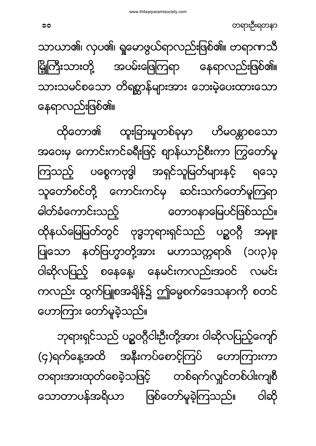ဘုရားရှင်သည် ပဉ္စဝဂ္ဂီငါးဦးတို့အား ဝါဆိုလပြည့်ကျော် (၄)ရက်နေ့အထိ အနီးကပ်စောင့်ကြပ် ဟောကြားကာ တရားအားထုတ်စေခဲ့သဖြင့် တစ်ရက်လျင်တစ်ပါးကျစီ သောတာပန်အရိယာ ဖြစ်တော်မူခဲ့ကြသည်။ ဝါဆို

ထိုတော၏ ထူးခြားမှုတစ်ခုမှာ ဟိမဝန္တာစသော အဝေးမှ ကောင်းကင်ခရီးဖြင့် ဈာန်ယာဉ်စီးကာ ကြွတော်မူ ကြသည့် ပစ္စေကဗုဒ္ဓါ အရှင်သူမြတ်များနှင့် ရတေ့ သူတော်စင်တို့ ကောင်းကင်မှ ဆင်းသက်တော်မူကြရာ ဓါတ်ခံကောင်းသည့် တောဝနာမြေပင်ဖြစ်သည်။ ထိုနယ်မြေမြတ်တွင် ဗုဒ္ဓဘုရားရှင်သည် ပဉ္စဝဂ္ဂီ အမျုး ပြုသော နတ်ဗြဟ္မာတို့အား မဟာသတ္တရာဇ် (၁၀၃)ခု ဝါဆိုလပြည့် စနေနေ့၊ နေမင်းကလည်းအဝင် လမင်း ကလည်း ထွက်ပြူစအချိန်၌ ဤဓမ္မစက်ဒေသနာကို စတင် ဟောကြား တော်မူခဲ့သည်။

သာယာ၏၊ လှပ၏၊ ရှုမောဖွယ်ရာလည်းဖြစ်၏။ ဗာရာဏသီ မြို့ကြီးသားတို့ အပမ်းဖြေကြရာ နေရာလည်းဖြစ်၏။ သားသမင်စသော တိရစ္ဆာန်များအား ဘေးမဲ့ပေးထားသော နေရာလည်းဖြစ်၏။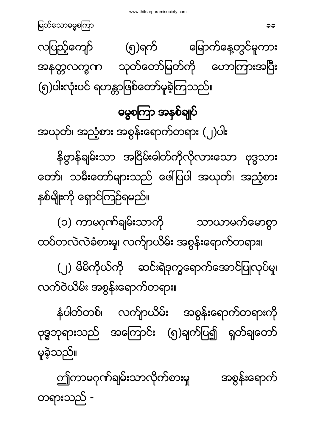ဤကာမဂုဏ်ချမ်းသာလိုက်စားမှု အစွန်းရောက် တရားသည် -

နံပါတ်တစ်၊ လက်ျာယိမ်း အစွန်းရောက်တရားကို ဗုဒ္ဓဘုရားသည် အကြောင်း (၅)ချက်ပြ၍ ရှတ်ချတော် မူခဲ့သည်။

(၂) မိမိကိုယ်ကို ဆင်းရဲဒုက္ခရောက်အောင်ပြုလုပ်မှု၊ လက်ဝဲယိမ်း အစွန်းရောက်တရား။

(၁) ကာမဂုဏ်ချမ်းသာကို သာယာမက်မောစွာ ထပ်တလဲလဲခံစားမှု၊ လက်ျာယိမ်း အစွန်းရောက်တရား။

<span id="page-10-0"></span>အယုတ်၊ အညံ့စား အစွန်းရောက်တရား (၂)ပါး နိဗ္ဗာန်ချမ်းသာ အငြိမ်းခါတ်ကိုလိုလားသော ဗုဒ္ဓသား တော်၊ သမီးတော်များသည် ဖေါ်ပြပါ အယုတ်၊ အညံ့စား နှစ်မျိုးကို ရှောင်ကြဉ်ရမည်။

လပြည့်ကျော် (၅)ရက် မြောက်နေ့တွင်မူကား အနတ္တလက္ခဏ သုတ်တော်မြတ်ကို ဟောကြားအပြီး (၅)ပါးလုံးပင် ရဟန္တာဖြစ်တော်မူခဲ့ကြသည်။

ဓမ္မစကြာ အနှစ်ချုပ်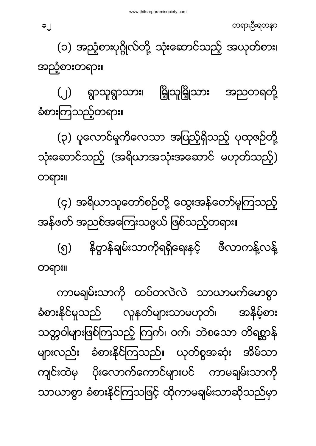ကာမချမ်းသာကို ထပ်တလဲလဲ သာယာမက်မောစွာ ခံစားနိင်မှသည် လူနတ်များသာမဟုတ်၊ အနိမ့်စား သတ္တဝါများဖြစ်ကြသည့် ကြက်၊ ဝက်၊ ဘဲစသော တိရစ္ဆာန် များလည်း ခံစားနိုင်ကြသည်။ ယုတ်စွအဆုံး အိမ်သာ ကျင်းထဲမှ ပိုးလောက်ကောင်များပင် ကာမချမ်းသာကို သာယာစွာ ခံစားနိုင်ကြသဖြင့် ထိုကာမချမ်းသာဆိုသည်မှာ

။

(၄) အရိယာသူတော်စဉ်တို့ ထွေးအန်တော်မူကြသည့် အန်ဖတ် အညစ်အကြေးသဖွယ် ဖြစ်သည့်တရား။ နိဗ္ဗာန်ချမ်းသာကိုရရှိရေးနှင့် ဇီလာကန့်လန့် (၅)

။

(၃) ပူလောင်မှုကိလေသာ အပြည့်ရှိသည့် ပုထုဇဉ်တို့ သုံးဆောင်သည့် (အရိယာအသုံးအဆောင် မဟုတ်သည့်)

(၂) ရွာသူရွာသား၊ မြို့သူမြို့သား အညတရတို့ ခံစားကြသည့်တရား။

အညံ့စားတရား။

(၁) အညံ့စားပုဂ္ဂိုလ်တို့ သုံးဆောင်သည့် အယုတ်စား၊

တရားဦးရတနာ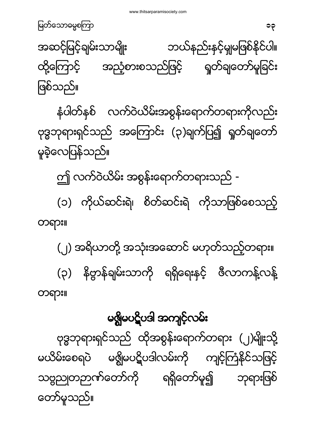<span id="page-12-0"></span>မၛွိမပဋိပဒါ အကျင့်လမ်း ဗုဒ္ဓဘုရားရှင်သည် ထိုအစွန်းရောက်တရား (၂)မျိုးသို့ မယိမ်းစေရပဲ မဇ္ဈိမပဋိပဒါလမ်းကို ကျင့်ကြံနိုင်သဖြင့် သဗ္ဗညုတဉာဏ်တော်ကို ရရှိတော်မူ၍ ဘုရားဖြစ် တော်မူသည်။

။

 ။ (၂) အရိယာတို့ အသုံးအဆောင် မဟုတ်သည့်တရား။ (၃) နိဗ္ဗာန်ချမ်းသာကို ရရှိရေးနှင့် ဖီလာကန့်လန့်

ဤ လက်ဝဲယိမ်း အစွန်းရောက်တရားသည် -(၁) ကိုယ်ဆင်းရဲ၊ စိတ်ဆင်းရဲ ကိုသာဖြစ်စေသည့်

နံပါတ်နစ် လက်ဝဲယိမ်းအစွန်းရောက်တရားကိုလည်း ဗုဒ္ဓဘုရားရှင်သည် အကြောင်း (၃)ချက်ပြ၍ ရှတ်ချတော် မူခဲ့လေပြန်သည်။

မြတ်သောဓမ္မစကြာ မြတ်အောင်များ အားသား အများ အများ အများ အများ အများ အများ အများ အများ အများ အများ အများ အများ အ<br>ကြံပြီး အများ အများ အများ အများ အများ အများ အများ အများ အများ အများ အများ အများ အများ အများ အများ အများ အများ အဆင့်မြင့်ချမ်းသာမျိုး ဘယ်နည်းနှင့်မှုုမဖြစ်နိုင်ပါ။ အညံ့စားစသည်ဖြင့် ထို့ကြောင့် ရှုတ်ချတော်မူခြင်း ဖြစ်သည်။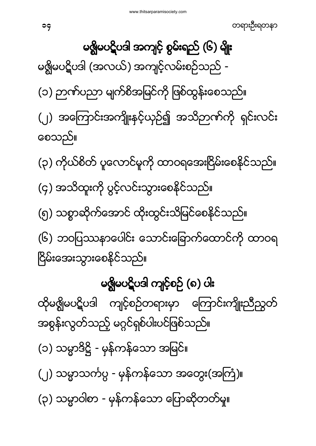<span id="page-13-1"></span><span id="page-13-0"></span>မရွိုမပဋိပဒါ (အလယ်) အကျင့်လမ်းစဉ်သည် -(၁) ဉာဏ်ပညာ မျက်စိအမြင်ကို ဖြစ်ထွန်းစေသည်။ (၂) အကြောင်းအကျိုးနှင့်ယှဉ်၍ အသိဉာဏ်ကို ရှင်းလင်း စေသည်။ (၃) ကိုယ်စိတ် ပူလောင်မူကို ထာဝရအေးငြိမ်းစေနိုင်သည်။ (၄) အသိထူးကို ပွင့်လင်းသွားစေနိုင်သည်။ (၅) သစ္စာဆိုက်အောင် ထိုးထွင်းသိမြင်စေနိုင်သည်။ (၆) ဘဝပြဿနာပေါင်း သောင်းခြောက်ထောင်ကို ထာဝရ ငြိမ်းအေးသွားစေနိုင်သည်။ မရွိျမပဋိပဒါ ကျင့်စဉ် (၈) ပါး ထိုမရွိျမပဋိပဒါ ကျင့်စဉ်တရားမှာ ကြောင်းကျိုးညီညွတ် အစွန်းလွတ်သည့် မဂ္ဂင်ရှစ်ပါးပင်ဖြစ်သည်။ (၁) သမ္မာဒိဋ္ဌိ - မှန်ကန်သော အမြင်။ (၂) သမ္မာသင်္ကပ္ပ - မှန်ကန်သော အတွေး(အကြံ)။ (၃) သမ္မာဝါစာ - မှန်ကန်သော ပြောဆိုတတ်မှု။

မၛ္လိုမပဋိပဒါ အကျင့် စွမ်းရည် (၆) မျိုး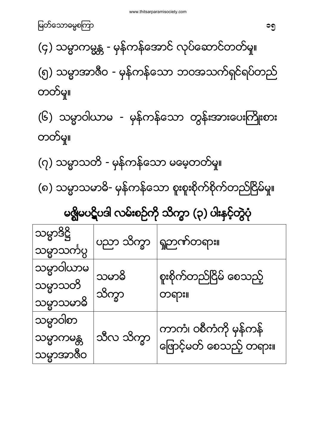<span id="page-14-0"></span>

| မိဖ္လျမိဳဝင္ရွိဝဒါ လမ်းစဉ္မကို သက္မွာ (၃) ဝါးနိုင္နိတ္မွဝု |              |                                                   |  |
|------------------------------------------------------------|--------------|---------------------------------------------------|--|
| သမ္မာဒိဋ္ဌိ                                                | ပညာ သိက္ခာ   | ရှုဉာဏ်တရား။                                      |  |
| သမ္မာသင်္ကပ္ပ                                              |              |                                                   |  |
| သမ္မာဝါယာမ                                                 | သမာဓိ        | စူးစိုက်တည်ငြိမ် စေသည့်                           |  |
| သမ္မာသတိ                                                   | သိက္ခာ       | တရား။                                             |  |
| သမ္မာသမာဓိ                                                 |              |                                                   |  |
| သမ္မာဝါတ                                                   |              |                                                   |  |
| သမ္မာကမန္တ                                                 | ဘ္မွတ္ ဘွယ်သ | ကာကံ၊ ဝစီကံကို မှန်ကန်<br>ဖြောင့်မတ် စေသည့် တရား။ |  |
| သမ္မာအာဇီဝ                                                 |              |                                                   |  |

 $3.8 - 8.2$ 

(၇) သမ္မာသတိ - မှန်ကန်သော မမေ့တတ်မှု။ (၈) သမ္မာသမာဓိ- မှန်ကန်သော စူးစူးစိုက်စိုက်တည်ငြိမ်မှု။

တတ်မှု။

(၆) သမ္မာဝါယာမ - မှန်ကန်သော တွန်းအားပေးကြိုးစား

(၄) သမ္မာကမ္မန္တ - မှန်ကန်အောင် လုပ်ဆောင်တတ်မှု။ (၅) သမ္မာအာဇီဝ - မှန်ကန်သော ဘဝအသက်ရှင်ရပ်တည် တတ်မှု။

မြတ်သောဓမ္မစကြာ မြန်မာနိုင်ငံ မြန်မာနိုင်ငံ မြန်မာနိုင်ငံ မြန်မာနိုင်ငံ မြန်မာနိုင်ငံ မြန်မာနိုင်ငံ မြန်မာနိုင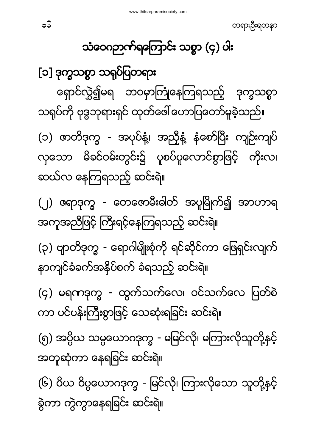<span id="page-15-1"></span><span id="page-15-0"></span>[၁] ဒ ရှောင်လွှဲ၍မရ ဘဝမှာကြုံနေကြရသည့် ဒုက္ခသစ္စာ သရုပ်ကို ဗုဒ္ဓဘုရားရှင် ထုတ်ဖေါ် ဟောပြတော်မူခဲ့သည်။ (၁) ဇာတိဒုက္ခ - အပုပ်နံ့၊ အညှိနံ့ နံစော်ပြီး ကျဉ်းကျပ် လှသော မိခင်ဝမ်းတွင်း၌ ပူစပ်ပူလောင်စွာဖြင့် ကိုးလ၊ ဆယ်လ နေကြရသည့် ဆင်းရဲ။ (၂) ဇရာဒုက္ခ - တေဇောမီးဓါတ် အပူမြိုက်၍ အာဟာရ အကူအညီဖြင့် ကြီးရင့်နေကြရသည့် ဆင်းရဲ။ (၃) ဗျာတိဒုက္ခ - ရောဂါမျိုးစုံကို ရင်ဆိုင်ကာ ဖြေရှင်းလျက် နာကျင်ခံခက်အနှိပ်စက် ခံရသည့် ဆင်းရဲ။ (၄) မရကဒုက္ခ - ထွက်သက်လေ၊ ဝင်သက်လေ ပြတ်စဲ ကာ ပင်ပန်းကြီးစွာဖြင့် သေဆုံးရခြင်း ဆင်းရဲ။ (၅) အပ္ပိယ သမ္ပယောဂဒုက္ခ - မမြင်လို၊ မကြားလိုသူတို့နှင့် အတူဆုံကာ နေရခြင်း ဆင်းရဲ။ (၆) ဗိယ ဝိပ္ပယောဂဒုက္ခ - မြင်လို၊ ကြားလိုသော သူတို့နှင့် ခွဲကာ ကွဲကွာနေရခြင်း ဆင်းရဲ။

သံဝေဂဉာဏ်ရကြောင်း သစ္စာ (၄) ပါး

တရားဦးရတနာ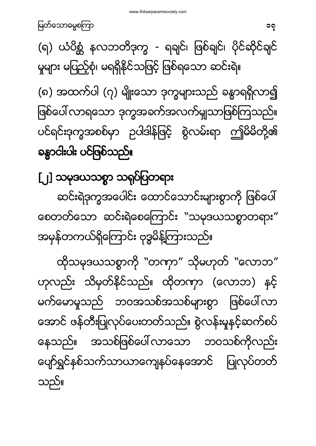ထိုသမုဒယသစ္စာကို "တဏှာ" သိုမဟုတ် "လောဘ" ဟုလည်း သိမှတ်နိုင်သည်။ ထိုတကှာ (လောဘ) နှင့် မက်မောမူသည် ဘဝအသစ်အသစ်များစွာ ဖြစ်ပေါ်လာ အောင် ဖန်တီးပြုလုပ်ပေးတတ်သည်။ စွဲလန်းမှုနှင့်ဆက်စပ် နေသည်။ အသစ်ဖြစ်ပေါ်လာသော ဘဝသစ်ကိုလည်း ပျော်ရွှင်နှစ်သက်သာယာကျေနပ်နေအောင် ပြုလုပ်တတ် သည်။

<span id="page-16-0"></span>[၂] ဒ ဆင်းရဲဒုက္ခအပေါင်း ထောင်သောင်းများစွာကို ဖြစ်ပေါ် စေတတ်သော ဆင်းရဲစေကြောင်း "သမုဒယသစ္စာတရား" အမှန်တကယ်ရှိကြောင်း ဗုဒ္ဓမိန့်ကြားသည်။

(၈) အထက်ပါ (၇) မျိုးသော ဒုက္ခများသည် ခန္ဓာရရှိလာ၍ ဖြစ်ပေါ် လာရသော ဒုက္ခအခက်အလက်မျသာဖြစ်ကြသည်။ ပင်ရင်းဒုက္ခအစစ်မှာ ဉပါဒါန်ဖြင့် စွဲလမ်းရာ ဤမိမိတို့၏ ခန္ဓာငါးပါး ပင်ဖြစ်သည်။

(ရ) ယံပိစ္ဆံ နလဘတိဒုက္ခ - ရချင်၊ ဖြစ်ချင်၊ ပိုင်ဆိုင်ချင် မှုများ မပြည့်စုံ၊ မရရှိနိုင်သဖြင့် ဖြစ်ရသော ဆင်းရဲ။

မြတ်သောဓမ္မစကြာ မြတ်သော အောက် အောက် များကို အောက် များကို အောက် များကို အောက် များကို အောက် များကို အောက် များ<br>ကြက် များကို အောက် များကို အောက် များကို အောက် များကို အောက် များကို အောက် များကို အောက် များကို အောက် များကို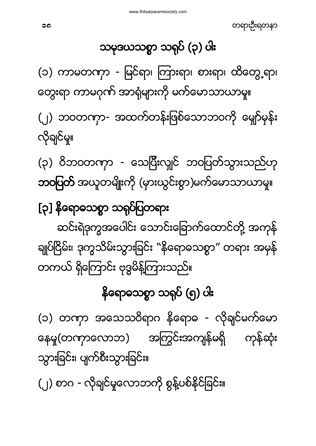# (၂) စာဂ - လိုချင်မှုလောဘကို စွန့်ပစ်နိုင်ခြင်း။

(၁) တကှာ အသေသဝိရာဂ နိရောဓ - လိုချင်မက်မော နေမှု(တဏှာလောဘ) အကြွင်းအကျန်မရှိ ကုန်ဆုံး သွားခြင်း၊ ပျက်စီးသွားခြင်း။

နိရောဓသစ္စာ သရုပ် (၅) ပါး

<span id="page-17-0"></span>[၃] နိရောဓသစ္စာ သရုပ်ပြတရား ဆင်းရဲဒုက္ခအပေါင်း သောင်းခြောက်ထောင်တို့ အကုန် ချုပ်ငြိမ်း၊ ဒုက္ခသိမ်းသွားခြင်း "နိရောဓသစ္စာ" တရား အမှန် တကယ် ရှိကြောင်း ဗုဒ္ဓမိန့်ကြားသည်။

လိုချင်မှု။ (၃) ဝိဘဝတဏှာ - သေပြီးလျှင် ဘဝပြတ်သွားသည်ဟု **ဘဝပြတ်** အယူတမျိုးကို (မှားယွင်းစွာ)မက်မောသာယာမှု။

(၁) ကာမတဏှာ - မြင်ရာ၊ ကြားရာ၊ စားရာ၊ ထိတွေ့ရာ၊ တွေးရာ ကာမဂုဏ် အာရုံများကို မက်မောသာယာမှု။ (၂) ဘဝတဏှာ- အထက်တန်းဖြစ်သောဘဝကို မျော်မုန်း

သမုဒယသစ္စာ သရုပ် (၃) ပါး

တရားဦးရတနာ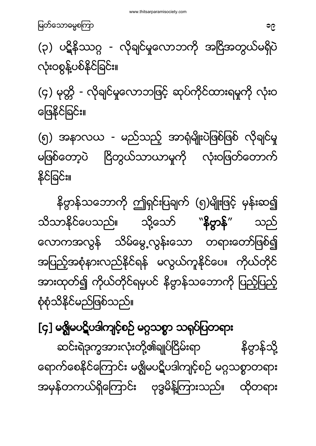ဆင်းရဲဒုက္ခအားလုံးတို့၏ချုပ်ငြိမ်းရာ နိဗ္ဗာန်သို့ ရောက်စေနိုင်ကြောင်း မရွိုမပဋိပဒါကျင့်စဉ် မဂ္ဂသစ္စာတရား အမှန်တကယ်ရှိကြောင်း ဗုဒ္ဓမိန့်ကြားသည်။ ထိုတရား

<span id="page-18-0"></span>[၄] မ<mark>ရ</mark>ွိမပဋိပဒါကျင့်စဉ် မဂ္ဂသစ္စာ သရုပ်ပြတရား

နိဗ္ဗာန်သဘောကို ဤရှင်းပြချက် (၅)မျိုးဖြင့် မှန်းဆ၍ သိသာနိုင်ပေသည်။ သို့သော် "နိဗ္ဗာန်" သည် လောကအလွန် သိမ်မွေ့လွန်းသော တရားတော်ဖြစ်၍ အပြည့်အစုံနားလည်နိုင်ရန် မလွယ်ကူနိုင်ပေ။ ကိုယ်တိုင် အားထုတ်၍ ကိုယ်တိုင်ရမှပင် နိဗ္ဗာန်သဘောကို ပြည့်ပြည့် စုံစုံသိနိုင်မည်ဖြစ်သည်။

မြေနိုင်ခြင်း။ (၅) အနာလယ - မည်သည့် အာရုံမျိုးပဲဖြစ်ဖြစ် လိုချင်မှု မဖြစ်တော့ပဲ ငြိတွယ်သာယာမှုကို လုံးဝဖြတ်တောက် နိုင်ခြင်း။

(၃) ပဋိနိဿဂ္ဂ - လိုချင်မှုလောဘကို အငြိအတွယ်မရှိပဲ လုံးဝစွန့်ပစ်နိုင်ခြင်း။ (၄) မုတ္တိ - လိုချင်မှုလောဘဖြင့် ဆုပ်ကိုင်ထားရမှုကို လုံးဝ

ျောက် အသုံးကြောက် အသုံးကြောက် အသုံးကြောက် အသုံးကြောက် အသုံးကြောက် အသုံးကြောက် အသုံးကြောက် အသုံးကြောက် အသုံးကြေ<br>ကြောက် အသုံးကြောက် အသုံးကြောက် အသုံးကြောက် အသုံးကြောက် အသုံးကြောက် အသုံးကြောက် အသုံးကြောက် အသုံးကြောက် အသုံးကြ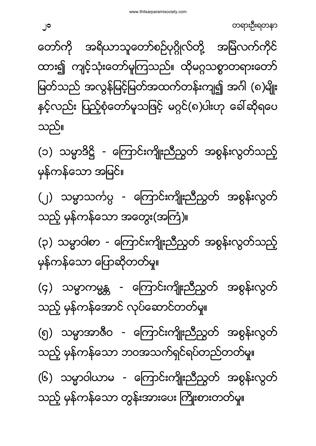မြတ်သည် အလွန်မြင့်မြတ်အထက်တန်းကျ၍ အင်္ဂါ (၈)မျိုး နှင့်လည်း ပြည့်စုံတော်မူသဖြင့် မဂ္ဂင်(၈)ပါးဟု ခေါ်ဆိုရပေ သည်။ (၁) သမ္မာဒိဋ္ဌိ - ကြောင်းကျိုးညီညွတ် အစွန်းလွတ်သည့် မှန်ကန်သော အမြင်။ (၂) သမ္မာသင်္ကပ္ပ - ကြောင်းကျိုးညီညွတ် အစွန်းလွတ် သည့် မှန်ကန်သော အတွေး(အကြံ)။ (၃) သမ္မာဝါစာ - ကြောင်းကျိုးညီညွတ် အစွန်းလွတ်သည့် မှန်ကန်သော ပြောဆိုတတ်မှု။ (၄) သမ္မာကမ္ဗန္တ - ကြောင်းကျိုးညီညွတ် အစွန်းလွတ် သည့် မှန်ကန်အောင် လုပ်ဆောင်တတ်မှု။ (၅) သမ္မာအာဇီဝ - ကြောင်းကျိုးညီညွတ် အစွန်းလွတ် သည့် မှန်ကန်သော ဘဝအသက်ရှင်ရပ်တည်တတ်မှု။ (၆) သမ္မာဝါယာမ - ကြောင်းကျိုးညီညွတ် အစွန်းလွတ် သည့် မှန်ကန်သော တွန်းအားပေး ကြိုးစားတတ်မှု။

ထား၍ ကျင့်သုံးတော်မူကြသည်။ ထိုမဂ္ဂသစ္စာတရားတော်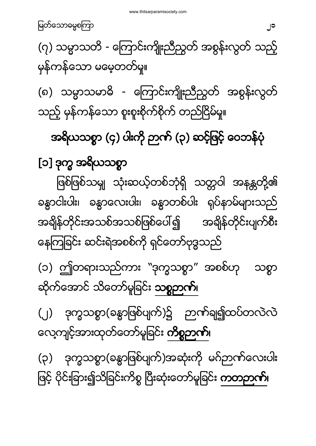<span id="page-20-1"></span><span id="page-20-0"></span>အရိယသစ္စာ (၄) ပါးကို ဉာဏ် (၃) ဆင့်ဖြင့် ဝေဘန်ပုံ [၁] ဒ ဖြစ်ဖြစ်သမျှ သုံးဆယ့်တစ်ဘုံရှိ သတ္တဝါ အနန္တတို့၏ ခန္ဓာငါးပါး၊ ခန္ဓာလေးပါး၊ ခန္ဓာတစ်ပါး ရုပ်နာမ်များသည် အချိန်တိုင်းအသစ်အသစ်ဖြစ်ပေါ်၍ အချိန်တိုင်းပျက်စီး နေကြခြင်း ဆင်းရဲအစစ်ကို ရှင်တော်ဗုဒ္ဓသည် (၁) ဤတရားသည်ကား ``ဒုက္ခသစ္စာ" အစစ်ဟု သစ္စာ ဆိုက်အောင် သိတော်မူခြင်း <mark>သစ္စဉာဏ်</mark>၊ (၂) ဒုက္ခသစ္စာ(ခန္ဓာဖြစ်ပျက်)၌ ဉာဏ်ချ၍ထပ်တလဲလဲ လေ့ကျင့်အားထုတ်တော်မူခြင်း **ကိစ္စဉာဏ်**၊ (၃) ဒုက္ခသစ္စာ(ခန္ဓာဖြစ်ပျက်)အဆုံးကို မဂ်ဉာဏ်လေးပါး ဖြင့် ပိုင်းခြား၍သိခြင်းကိစ္စ ပြီးဆုံးတော်မူခြင်း **ကတဉာဏ်**၊

(၇) သမ္မာသတိ - ကြောင်းကျိုးညီညွတ် အစွန်းလွတ် သည့် မုန်ကန်သော မမေ့တတ်မှု။ (၈) သမ္မာသမာဓိ - ကြောင်းကျိုးညီညွတ် အစွန်းလွတ် သည့် မှန်ကန်သော စူးစူးစိုက်စိုက် တည်ငြိမ်မှု။

မြတ်သောဓမ္မစကြာ မြတ်သော အောက်အား အများ အများ အများ အများ အများ အများ အများ အများ အများ အများ အများ အများ အများ<br>မြတ်သောဓမ္မစကြာ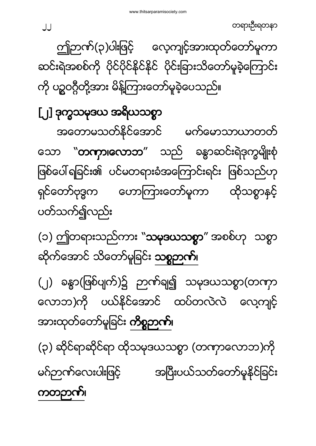#### ကတဉာဏ်၊

လောဘ)ကို ပယ်နိုင်အောင် ထပ်တလဲလဲ လေ့ကျင့် အားထုတ်တော်မူခြင်း **ကိစ္စဉာဏ်**၊ (၃) ဆိုင်ရာဆိုင်ရာ ထိုသမုဒယသစ္စာ (တကှာလောဘ)ကို မဂ်ဉာဏ်လေးပါးဖြင့် အပြီးပယ်သတ်တော်မူနိုင်ခြင်း

(၁) ဤတရားသည်ကား "**သမုဒယသစ္စာ**" အစစ်ဟု သစ္စာ ဆိုက်အောင် သိတော်မူခြင်း <mark>သစ္စဉာဏ်</mark>၊

(၂) ခန္ဓာ(ဖြစ်ပျက်)၌ ဉာဏ်ချ၍ သမုဒယသစ္စာ(တဏှာ

<span id="page-21-0"></span>[၂] ဒုက္ခသမုဒယ အရိယသစ္စာ အတောမသတ်နိုင်အောင် မက်မောသာယာတတ် သော "**တကှာ၊လောဘ**" သည် ခန္ဓာဆင်းရဲဒုက္ခမျိုးစုံ ဖြစ်ပေါ် ရခြင်း၏ ပင်မတရားခံအကြောင်းရင်း ဖြစ်သည်ဟု ရှင်တော်ဗုဒ္ဓက ဟောကြားတော်မူကာ ထိုသစ္စာနင့် ပတ်သက်၍လည်း

ဤဘဏ်(၃)ပါးဖြင့် လေ့ကျင့်အားထုတ်တော်မူကာ ဆင်းရဲအစစ်ကို ပိုင်ပိုင်နိုင်နိုင် ပိုင်းခြားသိတော်မူခဲ့ကြောင်း ကို ပဉ္စဝဂ္ဂီတို့အား မိန့်ကြားတော်မူခဲ့ပေသည်။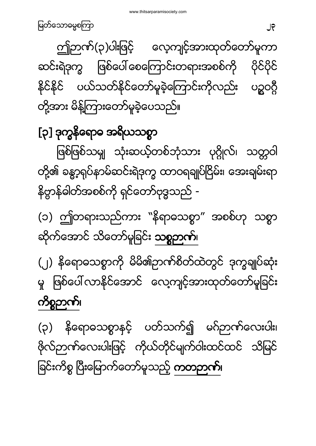(၃) နိရောဓသစ္စာနှင့် ပတ်သက်၍ မဂ်ဉာဏ်လေးပါး၊ ဗိုလ်ဉာဏ်လေးပါးဖြင့် ကိုယ်တိုင်မျက်ဝါးထင်ထင် သိမြင် ခြင်းကိစ္စ ပြီးမြောက်တော်မူသည့် **ကတဉာဏ်**၊

# (၂) နိရောဓသစ္စာကို မိမိ၏ဉာဏ်စိတ်ထဲတွင် ဒုက္ခချုပ်ဆုံး မှ ဖြစ်ပေါ်လာနိုင်အောင် လေ့ကျင့်အားထုတ်တော်မူခြင်း ကိစ္စဉာဏ်၊

(၁) ဤတရားသည်ကား "နိရာဓသစ္စာ" အစစ်ဟု သစ္စာ ဆိုက်အောင် သိတော်မူခြင်း **သစ္စဉာဏ်**၊

<span id="page-22-0"></span>[၃] ဒုက္ခနိရောဓ အရိယသစ္စာ ဖြစ်ဖြစ်သမျှ သုံးဆယ့်တစ်ဘုံသား ပုဂ္ဂိုလ်၊ သတ္တဝါ တို့၏ ခန္ဓာ့ရုပ်နာမ်ဆင်းရဲဒုက္ခ ထာဝရချုပ်ငြိမ်း၊ အေးချမ်းရာ နိဗ္ဗာန်ဓါတ်အစစ်ကို ရှင်တော်ဗုဒ္ဓသည် -

ဤဉာဏ်(၃)ပါးဖြင့် လေ့ကျင့်အားထုတ်တော်မူကာ ဆင်းရဲဒုက္ခ ဖြစ်ပေါ် စေကြောင်းတရားအစစ်ကို ပယ်သတ်နိုင်တော်မူခဲ့ကြောင်းကိုလည်း ပဉ္စဝဂ္ဂီ **3232** တို့အား မိန့်ကြားတော်မူခဲ့ပေသည်။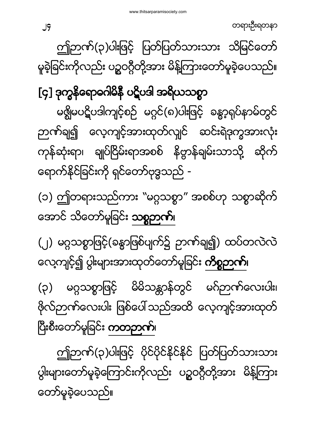ဤဉာဏ်(၃)ပါးဖြင့် ပိုင်ပိုင်နိုင်နိုင် ပြတ်ပြတ်သားသား ပွါးများတော်မူခဲ့ကြောင်းကိုလည်း ပဉ္စဝဂ္ဂီတို့အား မိန့်ကြား တော်မူခဲ့ပေသည်။

(၃) မဂ္ဂသစ္စာဖြင့် မိမိသန္တာန်တွင် မဂ်ဉာဏ်လေးပါး၊ ဖိုလ်ဉာဏ်လေးပါး ဖြစ်ပေါ် သည်အထိ လေ့ကျင့်အားထုတ် ပြီးစီးတော်မူခြင်း **ကတဉာဏ်**၊

(၂) မဂ္ဂသစ္စာဖြင့်(ခန္ဓာဖြစ်ပျက်၌ ဉာဏ်ချ၍) ထပ်တလဲလဲ လေ့ကျင့်၍ ပွါးများအားထုတ်တော်မူခြင်း **ကိစ္စဉာဏ်**၊

(၁) ဤတရားသည်ကား "မဂ္ဂသစ္စာ" အစစ်ဟု သစ္စာဆိုက် အောင် သိတော်မူခြင်း **သစ္စဉာက်**။

<span id="page-23-0"></span>[၄] ဒုက္ခနိရောဓဂါမိနီ ပဋိပဒါ အရိယသစ္စာ မၛ္လိုမပဋိပဒါကျင့်စဉ် မဂ္ဂင်(၈)ပါးဖြင့် ခန္ဓာ့ရုပ်နာမ်တွင် ဉာဏ်ချ၍ လေ့ကျင့်အားထုတ်လျှင် ဆင်းရဲဒုက္ခအားလုံး ကုန်ဆုံးရာ၊ ချုပ်ငြိမ်းရာအစစ် နိဗ္ဗာန်ချမ်းသာသို့ ဆိုက် ရောက်နိုင်ခြင်းကို ရှင်တော်ဗုဒ္ဓသည် -

ဤဉာဏ်(၃)ပါးဖြင့် ပြတ်ပြတ်သားသား သိမြင်တော် မူခဲ့ခြင်းကိုလည်း ပဉ္စဝဂ္ဂီတို့အား မိန့်ကြားတော်မူခဲ့ပေသည်။

တရားဦးရတနာ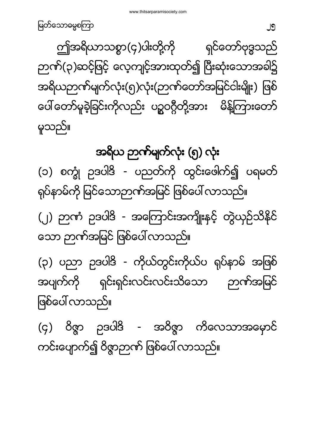<span id="page-24-0"></span>အရိယ ဉာဏ်မျက်လုံး (၅) လုံး (၁) စက္ခုံ ဥဒပါဒိ - ပညတ်ကို ထွင်းဖေါက်၍ ပရမတ် ရုပ်နာမ်ကို မြင်သောဉာဏ်အမြင် ဖြစ်ပေါ် လာသည်။ (၂) ဉာဏံ ဉဒပါဒိ - အကြောင်းအကျိုးနှင့် တွဲယှဉ်သိနိုင် သော ဉာဏ်အမြင် ဖြစ်ပေါ် လာသည်။ (၃) ပညာ ဉဒပါဒိ - ကိုယ်တွင်းကိုယ်ပ ရုပ်နာမ် အဖြစ် ရှင်းရှင်းလင်းလင်းသိသော အပျက်ကို ညက်အမြင် ဖြစ်ပေါ် လာသည<u>်</u>။ (၄) ဝိဇ္ဇာ ဉဒပါဒိ - အဝိဇ္ဇာ ကိလေသာအမှောင် ကင်းပျောက်၍ ဝိဇ္ဇာဉာဏ် ဖြစ်ပေါ် လာသည်။

မူသည်။

ဤအရိယာသစ္စာ(၄)ပါးတို့ကို ရင်တော်ဗုဒ္ဓသည် ဉာဏ်(၃)ဆင့်ဖြင့် လေ့ကျင့်အားထုတ်၍ ပြီးဆုံးသောအခါ၌ အရိယဉာဏ်မျက်လုံး(၅)လုံး(ဉာဏ်တော်အမြင်ငါးမျိုး) ဖြစ် ပေါ် တော်မူခဲ့ခြင်းကိုလည်း ပဉ္စဝဂ္ဂီတို့အား မိန့်ကြားတော်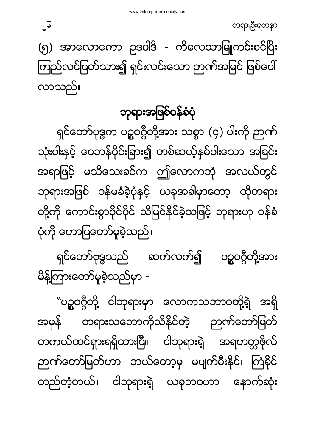တရားဦးရတနာ

အရှိ

<span id="page-25-0"></span>ဘုရားအဖြစ်ဝန်ခံပုံ ရှင်တော်ဗုဒ္ဓက ပဉ္စဝဂ္ဂီတို့အား သစ္စာ (၄) ပါးကို ဉာဏ် သုံးပါးနှင့် ဝေဘန်ပိုင်းခြား၍ တစ်ဆယ့်နှစ်ပါးသော အခြင်း အရာဖြင့် မသိသေးခင်က ဤလောကဘုံ အလယ်တွင် ဘုရားအဖြစ် ဝန်မခံခဲ့ပုံနှင့် ယခုအခါမှာတော့ ထိုတရား တို့ကို ကောင်းစွာပိုင်ပိုင် သိမြင်နိုင်ခဲ့သဖြင့် ဘုရားဟု ဝန်ခံ ပုံကို ဟောပြတော်မူခဲ့သည်။

ရှင်တော်ဗုဒ္ဓသည် ဆက်လက်၍ ပဉ္စဝဂ္ဂီတို့အား မိန့်ကြားတော်မူခဲ့သည်မှာ -``ပဥ္စဝဂ္ဂီတို့ ငါဘုရားမှာ လောကသဘာဝတို့ရဲ<del>့</del>

တကယ်ထင်ရှားရရှိထားပြီ။ ငါဘုရားရဲ့ အရဟတ္တဖိုလ်

တရားသဘောကိုသိနိုင်တဲ့ ဉာဏ်တော်မြတ်

ဉာဏ်တော်မြတ်ဟာ ဘယ်တော့မှ မပျက်စီးနိင်၊ ကြံနိင်

တည်တံ့တယ်။ ငါဘုရားရဲ့ ယခုဘဝဟာ နောက်ဆုံး

**3**ل

လာသည်။

အမှန်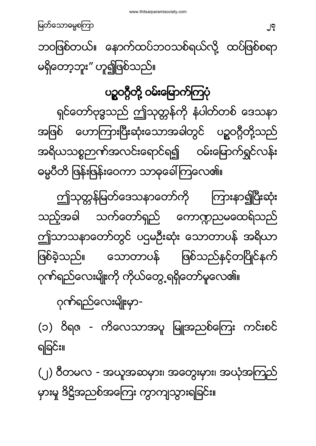(၂) ၀ီတမလ - အယူအဆမှား၊ အတွေးမှား၊ အယုံအကြည် မှားမှု ဒိဋ္ဌိအညစ်အကြေး ကွာကျသွားရခြင်း။

ဂုက်ရည်လေးမျိုးမှာ-(၁) ဝိရဇ - ကိလေသာအပူ မြူအညစ်ကြေး ကင်းစင် ရခြင်း။

ဓမ္မပီတိ ဖြန်းဖြန်းဝေကာ သာဓုခေါ်ကြလေ၏။ ဤသုတ္တန်မြတ်ဒေသနာတော်ကို ကြားနာ၍ပြီးဆုံး သက်တော်ရှည် ကောဏ္ဍညမထေရ်သည် သည့်အခါ ဤသာသနာတော်တွင် ပဌမဦးဆုံး သောတာပန် အရိယာ သောတာပန် ဖြစ်သည်နှင့်တပြိုင်နက် ဖြစ်ခဲ့သည်။ ဂုဏ်ရည်လေးမျိုးကို ကိုယ်တွေ့ရရှိတော်မူလေ၏။

<span id="page-26-0"></span>ရှင်တော်ဗုဒ္ဓသည် ဤသုတ္တန်ကို နံပါတ်တစ် ဒေသနာ အဖြစ် ဟောကြားပြီးဆုံးသောအခါတွင် ပဉ္စဝဂ္ဂီတို့သည် အရိယသစ္စဉာဏ်အလင်းရောင်ရ၍ ဝမ်းမြောက်ရွှင်လန်း

## ပဥ္စဝဂ္ဂီတို့ ဝမ်းမြောက်ကြပုံ

ဘဝဖြစ်တယ်။ နောက်ထပ်ဘဝသစ်ရယ်လို့ ထပ်ဖြစ်စရာ မရှိတော့ဘူး" ဟူ၍ဖြစ်သည်။

မြတ်သောဓမ္မစကြာ မြတ်သော အောက်အား အများ အများ အများ အများ အများ အများ အများ အများ အများ အများ အများ အများ အများ<br>အများ အများ အများ အများ အများ အများ အများ အများ အများ အများ အများ အများ အများ အများ အများ အများ အများ အများ အမ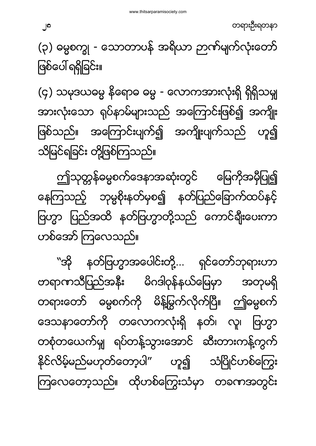"အို နတ်ဗြဟ္မာအပေါင်းတို့... ရှင်တော်ဘုရားဟာ တရာဏသီပြည်အနီး မိဂဒါဝုန်နယ်မြေမှာ အတုမရှိ တရားတော် ဓမ္မစက်ကို မိန့်မြွက်လိုက်ပြီ။ ဤဓမ္မစက် ဒေသနာတော်ကို တလောကလုံးရှိ နတ်၊ လူ၊ ဗြဟ္မာ တစုံတယေက်မျှ ရပ်တန့်သွားအောင် ဆီးတားကန့်ကွက် နိုင်လိမ့်မည်မဟုတ်တော့ပါ" ဟူ၍ သံပြိုင်ဟစ်ကြွေး ကြလေတော့သည်။ ထိုဟစ်ကြွေးသံမှာ တခဏအတွင်း

ဤသုတ္တန်ဓမ္မစက်ဒေနာအဆုံးတွင် မြေကိုအမှီပြု၍ နေကြသည့် ဘုမ္မစိုးနတ်မှစ၍ နတ်ပြည်ခြောက်ထပ်နင့် ဗြဟ္မာ ပြည်အထိ နတ်ဗြဟ္မာတို့သည် ကောင်ချီးပေးကာ ဟစ်အော် ကြလေသည်။

(၄) သမုဒယဓမ္မ နိရောဓ ဓမ္မ - လောကအားလုံးရှိ ရှိရှိသမျှ အားလုံးသော ရုပ်နာမ်များသည် အကြောင်းဖြစ်၍ အကျိုး ဖြစ်သည်။ အကြောင်းပျက်၍ အကျိုးပျက်သည် ဟူ၍ သိမြင်ရခြင်း တို့ဖြစ်ကြသည်။

(၃) ဓမ္မစက္ခု - သောတာပန် အရိယာ ဉာဏ်မျက်လုံးတော် ဖြစ်ပေါ် ရရှိခြင်း။

တရားဦးရတနာ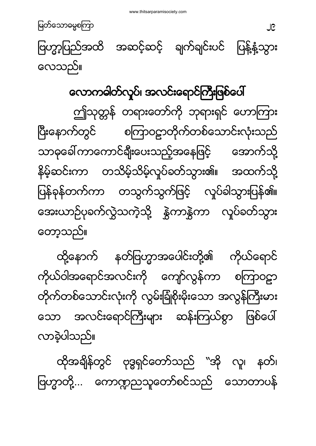ထိုအချိန်တွင် ဗုဒ္ဓရှင်တော်သည် "အို လူ၊ နတ်၊ ဗြဟ္မာတို့... ကောဏ္ဍညသူတော်စင်သည် သောတာပန်

လာခဲ့ပါသည်။

နတ်ဗြဟ္မာအပေါင်းတို့၏ ထို့နောက် ကိုယ်ရောင် ကိုယ်ဝါအရောင်အလင်းကို ကျော်လွန်ကာ စကြာဝဠာ တိုက်တစ်သောင်းလုံးကို လွမ်းခြုံစိုးမိုးသော အလွန်ကြီးမား ဖြစ်ပေါ် အလင်းရောင်ကြီးများ ဆန်းကြယ်စွာ သော

<span id="page-28-0"></span>လောကဓါတ်လှုပ်၊ အလင်းရောင်ကြီးဖြစ်ပေါ် ဤသုတ္တန် တရားတော်ကို ဘုရားရှင် ဟောကြား စကြာဝဠာတိုက်တစ်သောင်းလုံးသည် ပြီးနောက်တွင် သာဓုခေါ် ကာကောင်ချီးပေးသည့်အနေဖြင့် အောက်သို့ နိမ့်ဆင်းကာ တသိမ့်သိမ့်လှုပ်ခတ်သွား၏။ အထက်သို့ ပြန်ခုန်တက်ကာ တသွက်သွက်ဖြင့် လှုပ်ခါသွားပြန်၏။ အေးယာဉ်ပုခက်လွှဲသကဲ့သို့ နွှဲကာနွှဲကာ လှုပ်ခတ်သွား တော့သည်။

<u>ေ</u><br>၁၉ *၂*၀ (၁၈) ရက် ၁၉ ရက် ၁၉ ရက် ၁၉ ရက် ၁၉ ရက် ၁၉ ရက် ၁၉ ရက် ၁၉ ရက် ၁၉ ရက် ၁၉ ရက် ၁၉ ရက် ၁၉ ရက် ၁၉ ရက် ၁၉ ရက် ၁၉ ဗြဟ္မာ့ပြည်အထိ အဆင့်ဆင့် ချက်ချင်းပင် ပြန့်နံ့သွား လေသည်။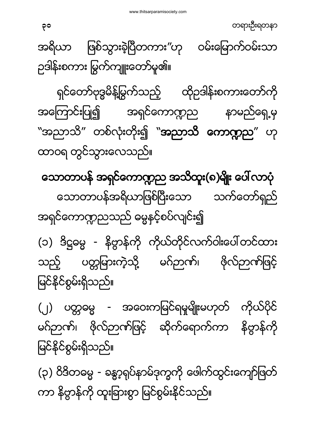(၃) ဝိဒိတဓမ္မ - ခန္ဓာ့ရုပ်နာမ်ဒုက္ခကို ဖေါက်ထွင်းကျော်ဖြတ် ကာ နိဗ္ဗာန်ကို ထူးခြားစွာ မြင်စွမ်းနိုင်သည်။

(၂) ပတ္တဓမ္မ - အဝေးကမြင်ရမှုမျိုးမဟုတ် ကိုယ်ပိုင် မဂ်ဉာဏ်၊ ဖိုလ်ဉာဏ်ဖြင့် ဆိုက်ရောက်ကာ နိဗ္ဗာန်ကို မြင်နိုင်စွမ်းရှိသည်။

(၁) ဒိဋ္ဌဓမ္မ - နိဗ္ဗာန်ကို ကိုယ်တိုင်လက်ဝါးပေါ်တင်ထား သည့် ပတ္တမြားကဲ့သို့ မဂ်ဉာဏ်၊ ဖိုလ်ဉာဏ်ဖြင့် မြင်နိုင်စွမ်းရှိသည်။

<span id="page-29-0"></span>သောတာပန် အရှင်ကောဏ္ဍည အသိထူး(၈)မျိုး ပေါ်လာပုံ သောတာပန်အရိယာဖြစ်ပြီးသော သက်တော်ရှည် အရှင်ကောဏ္ဍညသည် ဓမ္မနှင့်စပ်လျင်း၍

ရှင်တော်ဗုဒ္ဓမိန့်မြွက်သည့် ထိုဉဒါန်းစကားတော်ကို အကြောင်းပြု၍ အရှင်ကောဏ္ဍည နာမည်ရှေ့မှ ``အညာသိ*''* တစ်လုံးတိုး၍ ``**အညာသိ ကောဣာည**´´ ဟု ထာဝရ တွင်သွားလေသည်။

တရားဦးရတနာ  $\mathsf{P}^{\mathsf{o}}$ အရိယာ ဖြစ်သွားခဲ့ပြီတကား"ဟု ဝမ်းမြောက်ဝမ်းသာ ဉဒါန်းစကား မြွက်ကျူးတော်မူ၏။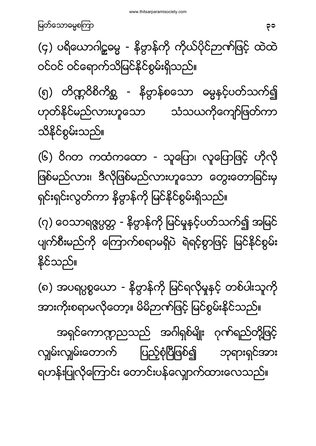အားကိုးစရာမလိုတော့။ မိမိဉာဏ်ဖြင့် မြင်စွမ်းနိုင်သည်။ အရှင်ကောဏ္ဍညသည် အင်္ဂါရှစ်မျိုး ဂုဏ်ရည်တို့ဖြင့် လျှမ်းလျှမ်းတောက် ပြည့်စုံပြီဖြစ်၍ ဘုရားရှင်အား ရဟန်းပြုလိုကြောင်း တောင်းပန်လျောက်ထားလေသည်။

နိုင်သည်။

(၇) ဝေသာရဇ္ဇပ္ပတ္တ - နိဗ္ဗာန်ကို မြင်မှုနှင့်ပတ်သက်၍ အမြင် ပျက်စီးမည်ကို ကြောက်စရာမရှိပဲ ရဲရင့်စွာဖြင့် မြင်နိုင်စွမ်း

(၈) အပရပ္ပစ္စယော - နိဗ္ဗာန်ကို မြင်ရလိုမူနင့် တစ်ပါးသူကို

(၆) ဝိဂတ ကထံကထော - သူပြော၊ လူပြောဖြင့် ဟိုလို ဖြစ်မည်လား၊ ဒီလိုဖြစ်မည်လားဟူသော တွေးတောခြင်းမှ ရှင်းရှင်းလွတ်ကာ နိဗ္ဗာန်ကို မြင်နိုင်စွမ်းရှိသည်။

(၅) တိဏ္ဍဝိစိကိစ္ဆ - နိဗ္ဗာန်စသော ဓမ္မနင့်ပတ်သက်၍ ဟုတ်နိုင်မည်လားဟူသော သံသယကိုကျော်ဖြတ်ကာ သိနိုင်စွမ်းသည်။

(၄) ပရိယောဂါဠ္ဓဓမ္မ - နိဗ္ဗာန်ကို ကိုယ်ပိုင်ဉာဏ်ဖြင့် ထဲထဲ ဝင်ဝင် ဝင်ရောက်သိမြင်နိုင်စွမ်းရှိသည်။

မြတ်သောဓမ္မစကြာ သားသား အသုံးသား အသုံးသား အသုံးသား အ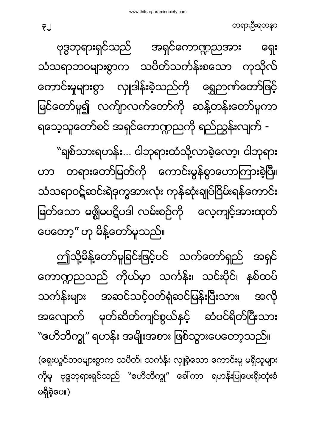(ရှေးယွင်ဘဝများစွာက သပိတ်၊ သင်္ကန်း လှူခဲ့သော ကောင်းမှု မရှိသူများ ကိုမူ ဗုဒ္ဓဘုရားရှင်သည် ```ဟေိဘိက္ခု" ခေါ်ကာ ရဟန်းပြုပေးရိုးထုံးစံ မရှိခဲ့ပေ။)

ဤသို့မိန့်တော်မူခြင်းဖြင့်ပင် သက်တော်ရှည် အရင် ကောဏ္ဍညသည် ကိုယ်မှာ သင်္ကန်း၊ သင်းပိုင်၊ နစ်ထပ် သင်္ကန်းများ အဆင်သင့်ဝတ်ရုံဆင်မြန်းပြီးသား၊ အလို အလျောက် မုတ်ဆိတ်ကျင်စွယ်နှင့် ဆံပင်ရိတ်ပြီးသား "ဗောိဘိက္ခု" ရဟန်း အမျိုးအစား ဖြစ်သွားပေတော့သည်။

"ချစ်သားရဟန်း... ငါဘုရားထံသို့လာခဲ့လော့၊ ငါဘုရား ဟာ တရားတော်မြတ်ကို ကောင်းမွန်စွာဟောကြားခဲ့ပြီ။ သံသရာဝဋ်ဆင်းရဲဒုက္ခအားလုံး ကုန်ဆုံးချုပ်ငြိမ်းရန်ကောင်း မြတ်သော မရွိမပဋိပဒါ လမ်းစဉ်ကို လေ့ကျင့်အားထုတ် ပေတော့" ဟု မိန့်တော်မူသည်။

ဗုဒ္ဓဘုရားရှင်သည် အရှင်ကောဏ္ဍညအား နေး သံသရာဘဝများစွာက သပိတ်သင်္ကန်းစသော ကုသိုလ် ကောင်းမှုများစွာ လှူဒါန်းခဲ့သည်ကို ရွှေဉာဏ်တော်ဖြင့် မြင်တော်မူ၍ လက်ျာလက်တော်ကို ဆန့်တန်းတော်မူကာ ရသေ့သူတော်စင် အရှင်ကောဏ္ဍညကို ရည်ညွှန်းလျက် -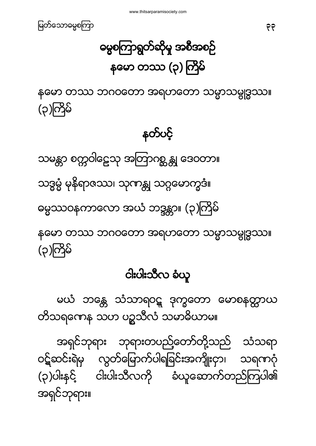အရှင်ဘုရား ဘုရားတပည့်တော်တို့သည် သံသရာ ဝဋ်ဆင်းရဲမှ လွတ်မြောက်ပါရခြင်းအကျိုးငှာ၊ သရကဂုံ (၃)ပါးနှင့် ငါးပါးသီလကို ခံယူဆောက်တည်ကြပါ၏ အရင်ဘုရား။

မယံ ဘန္တေ သံသာရဝဋ္ ဒုက္ခတော မောစနတ္ထာယ တိသရကေန သဟ ပဉ္စသီလံ သမာဓိယာမ။

#### ငါးပါးသီလ ခံယူ

သဒ္ဓမ္မံ မုနိရာဇဿ၊ သုဏန္တု သဂ္ဂမောက္ခဒံ။ ဓမ္မဿဝနကာလော အယံ ဘဒ္ဒန္တာ။ (၃)ကြိမ် နတော တဿ ဘဂဝတော အရဟတော သမ္မာသမ္ဗုဒ္ဓဿ။ (၃)ကြိမ်

သမန္တာ စက္ကဝါဠေသု အတြာဂစ္ဆန္တု ဒေဝတာ။

နတ်ပင့်

နတော တဿ ဘဂဝတော အရဟတော သမ္မာသမ္ဗုဒ္ဓဿ။ (၃)ကြိမ်

ဓမ္မစကြာရွတ်ဆိုမှု အစီအစဉ် နမော တဿ (၃) ကြိမ်

<span id="page-32-0"></span>မြတ်သောဓမ္မစကြာ သားသား အသုံး အားဝမ်း အားဝမ်း အားဝမ်း အားဝမ်း အ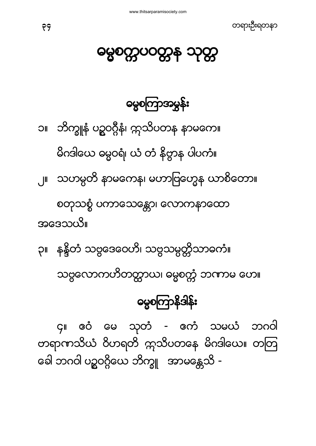၄။ ဧဝံ မေ သုတံ - ဧကံ သမယံ ဘဂဝါ တရာဏသိယံ ဝိဟရတိ ဣသိပတနေ မိဂဒါယေ။ တတြ ခေါ ဘဂဝါ ပဉ္စဝဂ္ဂိယေ ဘိက္ခူ အာမန္တေသိ -

#### **ဓမ္မစကြာနိဒါန်း**

သဗ္ဗလောကဟိတတ္ထာယ၊ ဓမ္မစက္ကံ ဘကာမ ဟေ။

၃။ နန္ဒိတံ သဗ္ဗဒေဝေဟိ၊ သဗ္ဗသမ္ပတ္တိသာဓကံ။

အဒေသယိ။

စတုသစ္စံ ပကာသေန္တော၊ လောကနာထော

မိဂဒါယေ ဓမ္မဝရံ၊ ယံ တံ နိဗ္ဗာန ပါပကံ။ ၂။ သဟမ္ပတိ နာမကေန၊ မဟာဗြဟ္မေန ယာစိတော။

၁။ - ဘိက္ခူနံ ပဥ္မဝဂ္ဂ်ီနံ၊ ဣသိပတန နာမကေ။

**ဓမ္မစကြာအမွှန်း** 

<span id="page-33-0"></span>မွေစက္ကပဝတ္တန သုတ္တ

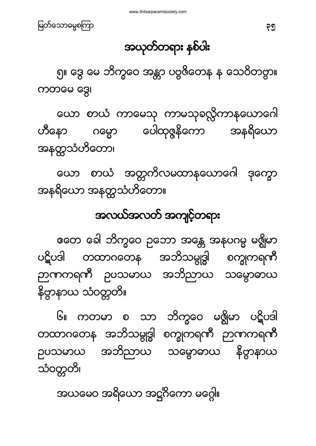#### အယုတ်တရား နစ်ပါး

၅။ ဒွေ မေ ဘိက္ခဝေ အန္တာ ပဗ္ဗဇိတေန န သေဝိတဗွာ။ ကတမေ ဒွေ၊

ယော စာယံ ကာမေသု ကာမသုခလ္လိကာနယောဂေါ ဟီနော ဂမ္မော ပေါထုဇ္ဇနိကော အနရိယော အနတ္ထသံဟိတော၊

ယော စာယံ အတ္တကိလမထာနယောဂေါ ဒုက္ခော အနရိယော အနတ္တသံဟိတော။

#### အလယ်အလတ် အကျင့်တရား

ဧတေ ခေါ ဘိက္ခဝေ ဉဘော အန္တေ အနပဂမ္မ မရွိမာ ပဋိပဒါ တထာဂတေန အဘိသမ္ဗုဒ္ဓါ စက္ခုကရကီ ဉာဏကရဏီ ဥပသမာယ အဘိညာယ သမ္မောဓာယ နိဗ္ဗာနာယ သံဝတ္တတိ။

၆။ ကတမာ စ သာ ဘိက္ခဝေ မရွိမာ ပဋိပဒါ တထာဂတေန အဘိသမ္ဗုဒ္ဓါ စက္ခုကရကီ ဉာဏကရကီ ဉပသမာယ အဘိညာယ သမ္ဗောဓာယ နိဗ္ဗာနာယ သံဝတ္တတိ၊

အယမေဝ အရိယော အဋ္ဌဂိကော မဂ္ဂေါ။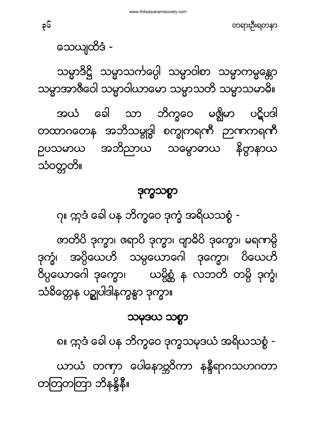တရားဦးရတနာ

သေယျထိဒံ -

တတြတတြာ ဘိနန္ဒိနီ။

သမ္မာဒိဋ္ဌိ သမ္မာသင်္ကပ္ပေါ့ သမ္မာဝါစာ သမ္မာကမ္မန္တော သမ္မာအာဇီဝေါ သမ္မာဝါယာမော သမ္မာသတိ သမ္မာသမာဓိ။

အယံ ခေါ သာ ဘိက္ခဝေ မဇ္ဈိမာ ပဋိပဒါ တထာဂတေန အဘိသမ္ဗုဒ္ဓါ စက္ခုကရကီ ဉာကကရကီ ဉပသမာယ အဘိညာယ သမ္ဗောဓာယ နိဗ္ဗာနာယ သံဝတ္တတိ။

#### ဒ

၇။ ဣဒံ ခေါ ပန ဘိက္ခဝေ ဒုက္ခံ အရိယသစ္စံ -

ဇာတိပိ ဒုက္ခာ၊ ဇရာပိ ဒုက္ခာ၊ ဗျာဓိပိ ဒုက္ခော၊ မရကာမ္ပိ ဒုက္ခုံ၊ အပ္ပိယေဟိ သမ္ပယောဂေါ ဒုက္ခော၊ ပိယေဟိ ဝိပ္ပယောဂေါ ဒုက္ခော၊ ယမ္ပိစ္ဆံ န လဘတိ တမ္ပိ ဒုက္ခံ၊ သံခိတ္ကေန ပဉ္စုပါဒါနက္ခန္မွာ ဒုက္ခာ။

#### သမုဒယ သစ္စာ

၈။ ဣဒံ ခေါ ပန ဘိက္ခဝေ ဒုက္ခသမုဒယံ အရိယသစ္စံ -ယာယံ တဏှာ ပေါနောဗ္ဘဝိကာ နန္ဒီရာဂသဟဂတာ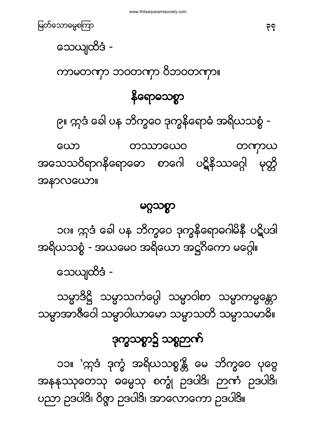၁၁။ `ဣဒံ ဒုက္ခံ အရိယသစ္စ′န္တိ မေ ဘိက္ခဝေ ပုဗ္ဗေ အနနုဿုတေသု ဓမ္မေသု စက္ခုံ ဥဒပါဒိ၊ ဉာဏံ ဥဒပါဒိ၊ ပညာ ဥဒပါဒိ၊ ဝိဇ္ဇာ ဥဒပါဒိ၊ အာလောကော ဥဒပါဒိ။

# ဒုက္ခသစ္စာ၌ သစ္စဉာဏ်

သမ္မာဒိဋ္ဌိ သမ္မာသင်္ကပ္ပေါ့ သမ္မာဝါစာ သမ္မာကမ္မန္တော သမ္မာအာဇီဝေါ သမ္မာဝါယာမော သမ္မာသတိ သမ္မာသမာဓိ။

သေယျထိဒံ -

၁ဂ။ ဣဒံ ခေါ ပန ဘိက္ခဝေ ဒုက္ခနိရောဓဂါမိနီ ပဋိပဒါ အရိယသစ္စံ - အယမေဝ အရိယော အဋ္ဌဂိကော မဂ္ဂေါ။

#### မဂ္ဂသစ္စာ

တဿာယေဝ ယော တကာယ အသေသဝိရာဂနိရောဓော စာဂေါ ပဋိနိဿဂ္ဂေါ မုတ္ကိ အနာလယော။

၉။ ဣဒံ ခေါ ပန ဘိက္ခဝေ ဒုက္ခနိရောဓံ အရိယသစ္စံ -

#### နိရောသေစွာ

ယာဇာတယ် သဝသယ်သ ဝသဝသယ်။

သေယျထိဒံ -

မြတ်သောဓမ္မစကြာ သားသား အားသား အားသား အားသား အားသား ခုခု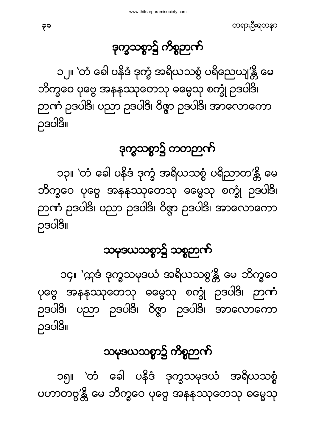#### ဒုက္ခသစ္စာ၌ ကိစ္စဉာဏ်

၁၂။ `တံ ခေါ ပနိဒံ ဒုက္ခံ အရိယသစ္စံ ပရိညေယျ′န္တိ မေ ဘိက္ခဝေ ပုဗ္ဗေ အနနဿုတေသု ဓမ္မေသု စက္ခုံ ဉဒပါဒိ၊ ည်ယ့် ၁၁၁၂ဒု၊ ဂဘာ ၁၁၁၂ဒု၊ ဝွဖ် ၁၁၁၂ဒု၊ အာဟောယော ဉဒပါဒိ။

ဒုက္ခသစ္စာ၌ ကတဉာဏ်

၁၃။ `တံ ခေါ ပနိဒံ ဒုက္ခံ အရိယသစ္စံ ပရိညာတ′န္တိ မေ ဘိက္ခဝေ ပုဗ္ဗေ အနနဿုတေသု ဓမ္မေသု စက္ခုံ ဥဒပါဒိ၊ ည်ယ့ ၁၁၁၂၃၊ ဂဘာ ၁၁၁၂၃၊ ဝွနာ ၁၁၁၂၃၊ ဒသလောယော ဉဒပါဒိ။

#### သမုဒယသစ္စာ၌ သစ္စဉာဏ်

၁၄။ `ဣဒံ ဒုက္ခသမုဒယံ အရိယသစ္စ′န္တိ မေ ဘိက္ခဝေ ပုဗ္ဗေ အနနဿုတေသု ဓမ္မေသု စက္ခုံ ဉဒပါဒိ၊ ဉာဏံ ဉဒပါဒိ၊ ပညာ ဉဒပါဒိ၊ ဝိဇ္ဇာ ဉဒပါဒိ၊ အာလောကော ဥဒပါဒိ။

## သမုဒယသစ္စာ၌ ကိစ္စဉာဏ်

၁၅။ `တံ ခေါ ပနိဒံ ဒုက္ခသမုဒယံ အရိယသစ္စံ ပဟာတဗ္ဗ'န္ကိ မေ ဘိက္ခဝေ ပုဗ္ဗေ အနနုဿုတေသု ဓမ္မေသု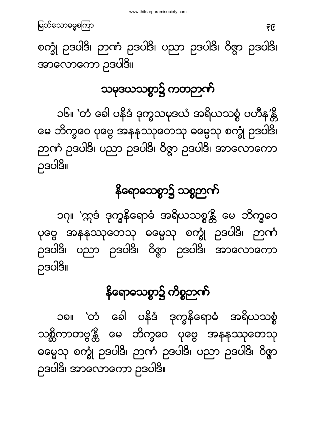

စက္ခုံ ဉဒပါဒိ၊ ဉာဏံ ဉဒပါဒိ၊ ပညာ ဉဒပါဒိ၊ ဝိဇ္ဇာ ဉဒပါဒိ၊ အာလောကော ဉဒပါဒိ။

သမုဒယသစ္စာ၌ ကတဉာဏ်

၁၆။ `တံ ခေါ ပနိဒံ ဒုက္ခသမုဒယံ အရိယသစ္စံ ပဟိန႓္တိ မေ ဘိက္ခဝေ ပုဗ္ဗေ အနနုဿုတေသု ဓမ္မေသု စက္ခုံ ဥဒပါဒိ၊ ည်ယ့် ၁၁၁၂ခု၊ ဂဘာ ၁၁၁၂ခု၊ ဝွန်ာ ၁၁၁၂ခု၊ အာဟောယော ဉဒပါဒိ။

#### နိရောဓသစ္စာ၌ သစ္စဉာဏ်

၁၇။ `ဣဒံ ဒုက္ခနိရောဓံ အရိယသစ္စ′န္တိ မေ ဘိက္ခဝေ ပုဗ္ဗေ အနနုဿုတေသု ဓမ္မေသု စက္ခုံ ဥဒပါဒိ၊ ဉာဏံ ဉဒပါဒိ၊ ပညာ ဉဒပါဒိ၊ ဝိဇ္ဇာ ဉဒပါဒိ၊ အာလောကော ဥဒပါဒိ။

### နိရောဓသစ္စာ၌ ကိစ္စဉာဏ်

၁၈။ `တံ ခေါ ပနိဒံ ဒုက္ခနိရောဓံ အရိယသစ္စံ သစ္တိကာတဗ္ဗ′န္တိ မေ ဘိက္ခဝေ ပုဗ္ဗေ အနနဿုတေသု ဓမ္မေသု စက္ခုံ ဥဒပါဒိ၊ ဉာဏံ ဥဒပါဒိ၊ ပညာ ဥဒပါဒိ၊ ဝိဇ္ဇာ ဉဒပါဒိ၊ အာလောကော ဉဒပါဒိ။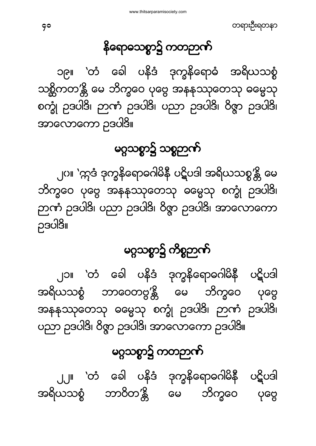တရားဦးရတနာ

## နိရောဓသစ္စာ၌ ကတဉာဏ်

၁၉။ `တံ ခေါ ပနိဒံ ဒုက္ခနိရောဓံ အရိယသစ္စံ သစ္ဆိကတ′န္တီ မေ ဘိက္ခဝေ ပုဗ္ဗေ အနနဿုတေသု ဓမ္မေသု စက္ခုံ ဥဒပါဒိ၊ ဉာဏံ ဥဒပါဒိ၊ ပညာ ဥဒပါဒိ၊ ဝိဇ္ဇာ ဥဒပါဒိ၊ အာလောကော ဉဒပါဒိ။

#### မဂ္ဂသစ္စာ၌ သစ္စဉာဏ်

၂ဂ။ 'ဣဒံ ဒုက္ခနိရောဓဂါမိနီ ပဋိပဒါ အရိယသစ္စ'န္တိ မေ ဘိက္ခဝေ ပုဗ္ဗေ အနနုဿုတေသု ဓမ္မေသု စက္ခုံ ဥဒပါဒိ၊ ည်ယ့ ၁၁၁၂၃၊ ဂဘာ ၁၁၁၂၃၊ ဝွန်း ၁၁၁၅၃၊ ဒသလောယော ဉဒပါဒိ။

#### မဂ္ဂသစ္စာ၌ ကိစ္စဉာဏ်

ု၂၁။ `တံ ခေါ ပနိဒံ ဒုက္ခနိရောဓဂါမိနီ ပဋိပဒါ အရိယသစ္စံ ဘာဝေတဗ္ဗ'န္တိ မေ ဘိက္ခဝေ ပုဗ္ဗေ အနနုဿုတေသု ဓမ္မေသု စက္ခုံ ဥဒပါဒိ၊ ဉာဏံ ဥဒပါဒိ၊ ရသာ ၁၁၁၂ခု၊ ဝွဖ် ၁၁၁၂ခု၊ ဿဟောယော ၁၁၁၂ခု။

#### မဂ္ဂသစ္စာ၌ ကတဉာဏ်

၂၂။ `တံ ခေါ ပနိဒံ ဒုက္ခနိရောဓဂါမိနီ ပဋိပဒါ အရိယသစ္စံ ဘာဝိတ′န္တိ မေ ဘိက္ခဝေ ပုတ္တေ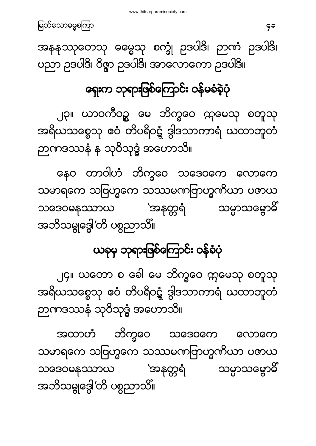အထာဟံ ဘိက္ခဝေ သဒေဝကေ **လောကေ** သမာရကေ သဗြဟ္မကေ သဿမဏဗြာဟ္မဏိယာ ပဏယ သဒေဝမနဿာယ 'အနတ္တရံ သမ္မာသမ္ဗောဓိ အဘိသမ္ဗုဒ္ဓေါ′တိ ပစ္စညာသိ။

၂၄။ ယတော စ ခေါ မေ ဘိက္ခဝေ ဣမေသု စတူသု အရိယသစ္စေသု ဧဝံ တိပရိဝဋ္ဌံ ဒွါဒသာကာရံ ယထာဘူတံ ဉာဏဒဿနံ သုဝိသုဒ္ဓံ အဟောသိ။

# ယခုမှ ဘုရားဖြစ်ကြောင်း ဝန်ခံပုံ

နေဝ တာဝါဟံ ဘိက္ခဝေ သဒေဝကေ လောကေ သမာရကေ သဗြဟ္မကေ သဿမဏဗြာဟ္မဏိယာ ပဇာယ သဒေဝမနဿာယ 'အနတ္တရံ သမ္မာသမ္ဗောဓိ အဘိသမ္ဂုဒ္ဓေါ′တိ ပစ္စညာသိ။

၂၃။ ယာဝကီဝဥ္က မေ ဘိက္ခဝေ ဣမေသု စတူသု အရိယသစ္စေသု ဧဝံ တိပရိဝဋ္ဍံ ဒွါဒသာကာရံ ယထာဘူတံ ဉာဏဒဿနံ န သုဝိသုဒ္ဓံ အဟောသိ။

## ရှေးက ဘုရားဖြစ်ကြောင်း ဝန်မခံခဲ့ပုံ

အနနုဿုတေသု ဓမ္မေသု စက္ခုံ ဥဒပါဒိ၊ ဉာဏံ ဥဒပါဒိ၊ ဝညာ ဥဒပါဒိ၊ ဝိဇ္ဇာ ဥဒပါဒိ၊ အာလောကော ဥဒပါဒိ။

41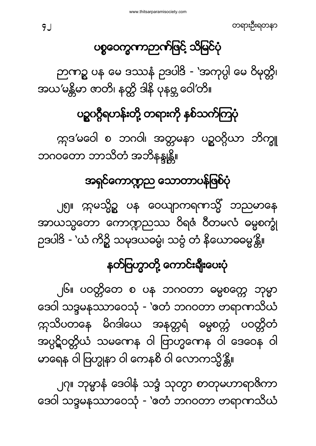၂၇။ ဘုမ္မာနံ ဒေဝါနံ သဒ္ဒံ သုတွာ စာတုမဟာရာဇ်ကာ ဒေဝါ သဒ္ဒမနဿာဝေသုံ - 'ဧတံ ဘဂဝတာ ဗာရာကသိယံ

၂၆။ ပဝတ္တိတေ စ ပန ဘဂဝတာ ဓမ္မစက္ကေ ဘုမ္မာ ဒေဝါ သဒ္ဒမနဿာဝေသုံ - 'ဧတံ ဘဂဝတာ ဗာရာကသိယံ က္ကသိပတနေ မိဂဒါယေ အနတ္တရံ ဓမ္မစတ္တံ ပဝတ္တိတံ အပ္ပဋိဝတ္တိယံ သမဏေန ဝါ ဗြာဟ္မဏေန ဝါ ဒေဝေန ဝါ မာရေန ဝါ ဗြဟ္မုနာ ဝါ ကေနစိ ဝါ လောကသ္မိ′န္တိ။

၂၅။ ကုမသို့ဥ ပန ဝေယျာကရကသ္မိံ ဘညမာနေ အာယသ္မတော ကောဏ္ပညဿ ဝိရဇံ ဝိတမလံ ဓမ္မစက္ခုံ ဉုဒပါဒီ - `ယံ ကိဉ္စိ သမုဒယဓမ္မံ၊ သဗွံ တံ နိယောဓဓမ္မ'န္တိ။

နတ်ဗြဟ္မာတို့ ကောင်းရိုးပေးပုံ

## အရှင်ကောဣာည သောတာပန်ဖြစ်ပုံ

က္ကဒ'မဝေါ စ ဘဂဝါ၊ အတ္တမနာ ပဥ္မဝဂ္ဂိယာ ဘိက္ခူ ဘဂဝတော ဘာသိတံ အဘိနန္ဒုန္တိ။

## ပဥ္မွပဂ္ဂီရဟန်းတို့ တရားကို နှစ်သက်ကြပုံ

ဉာဏဉ္စ ပန မေ ဒဿနံ ဥဒပါဒိ - 'အကုပ္ပါ မေ ဝိမုတ္ကိ၊ အယ'မန္တိမာ ဇာတိ၊ နတ္ထိ ဒါနိ ပုနဗ္ဘ ဝေါ'တိ။

### ပစ္စဝေက္ခဏာဉာဏ်ဖြင့် သိမြင်ပုံ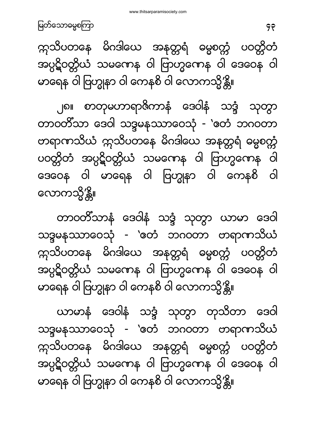၂၈။ စာတုမဟာရာဇိကာနံ ဒေဝါနံ သဒ္ဒံ သုတွာ တာဝတိံသာ ဒေဝါ သဒ္ဒမနဿာဝေသုံ - 'ဧတံ ဘဂဝတာ တရာဏသိယံ ဣသိပတနေ မိဂဒါယေ အနတ္တရံ ဓမ္မစက္ကံ ပဝတ္တိတံ အပ္ပဋိဝတ္တိယံ သမဏေန ဝါ ဗြာဟ္မဏေန ဝါ ဒေဝေန ဝါ မာရေန ဝါ ဗြဟ္မုနာ ဝါ ကေနစိ ဝါ လောကသို့′န္တိ။

တာဝတိံသာနံ ဒေဝါနံ သဒ္ဒံ သုတ္မွာ ယာမာ ဒေဝါ သဒ္ဓမနဿာဝေသုံ - 'တေံ ဘဂဝတာ တရာဏသိယံ က္ကသိပတနေ မိဂဒါယေ အနတ္တရံ ဓမ္မစက္ကံ ပဝတ္တိတံ အပ္ပဋိဝတ္တိယံ သမကေန ဝါ ဗြာဟ္မကေန ဝါ ဒေဝေန ဝါ မာရေန ဝါ ဗြဟ္မုနာ ဝါ ကေနစိ ဝါ လောကသ္မိ′န္တိ။

ယာမာနံ ဒေဝါနံ သဒ္ဒံ သုတ္မွာ တုသိတာ ဒေဝါ သဒ္ဒမနဿာဝေသုံ - 'တေံ ဘဂဝတာ တရာကာသိယံ က္ကသိပတနေ မိဂဒါယေ အနတ္တရံ ဓမ္မစက္ကံ ပဝတ္တိတံ အပ္ပဋိဝတ္တိယံ သမကေန ဝါ ဗြာဟ္မကေန ဝါ ဒေဝေန ဝါ မာရေန ဝါ ဗြဟ္မုနာ ဝါ ကေနစိ ဝါ လောကသ္မိ′န္တိ။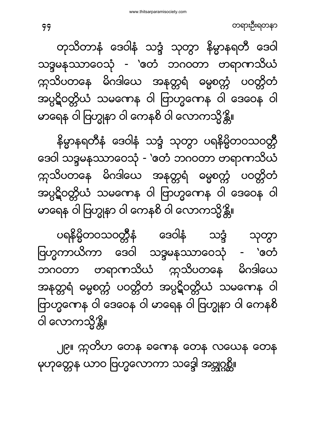တရားဦးရတနာ

တုသိတာနံ ဒေဝါနံ သဒ္ဒံ သုတ္မွာ နိမ္မာနရတီ ဒေဝါ သဒ္ဒမနဿာဝေသုံ - `ဧတံ ဘဂဝတာ တရာဏသိယံ က္ကသိပတနေ မိဂဒါယေ အနတ္တရံ ဓမ္မစက္ကံ ပဝတ္တိတံ အပ္ပဋိဝတ္တိယံ သမကေန ဝါ ဗြာဟ္မကေန ဝါ ဒေဝေန ဝါ မာရေန ဝါ ဗြဟ္မုနာ ဝါ ကေနစိ ဝါ လောကသ္မိ′န္တိ။

နိမ္မာနရတီနံ ဒေဝါနံ သဒ္ဒံ သုတ္မွာ ပရနိမ္မိတဝသဝတ္တီ ဒေဝါ သဒ္ဒမနဿာဝေသုံ - 'တေံ ဘဂဝတာ တရာဏသိယံ က္ကသိပတနေ မိဂဒါယေ အနတ္တရံ ဓမ္မစက္ကံ ပဝတ္တိတံ အပ္ပဋိဝတ္တိယံ သမကေန ဝါ ဗြာဟ္မကေန ဝါ ဒေဝေန ဝါ မာရေန ဝါ ဗြဟ္မုနာ ဝါ ကေနစိ ဝါ လောကသ္မိ′န္တိ။

ပရနိဗ္ဗိတဝသဝတ္တီနံ ဒေဝါနံ သဒ္ဒံ သုတ္မွာ ဗြဟ္မကာယိကာ ဒေဝါ သဒ္ဒမနဿာဝေသုံ - 'ဧတံ ဘဂဝတာ တရာဏသိယံ ဣသိပတနေ မိဂဒါယေ အနတ္တရံ ဓမ္မစက္တံ ပဝတ္တိတံ အပ္ပဋိဝတ္တိယံ သမဏေန ဝါ ဗြာဟ္မဏေန ဝါ ဒေဝေန ဝါ မာရေန ဝါ ဗြဟ္မုနာ ဝါ ကေနစိ ဝါ လောကသ္မိ′န္တိ။

၂၉။ ဣတိဟ တေန ခဏေန တေန လယေန တေန မှဟုတ္တေန ယာဝ ဗြဟ္မလောကာ သဒ္ဒေါ အဗ္ဘုဂ္ဂစ္တိ။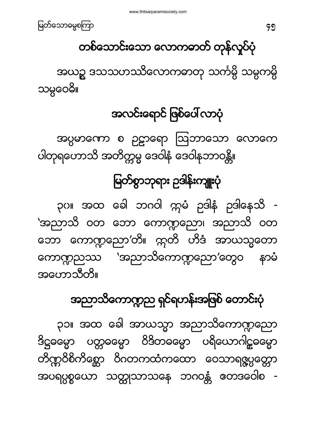

### တစ်သောင်းသော လောကဓာတ် တုန်လှုပ်ပုံ

အယဉ္စ ဒသသဟဿိလောကဓာတု သင်္ကမ္မိ သမ္မကမ္မိ သမ္ဂဝေဓိ။

## အလင်းရောင် ဖြစ်ပေါ် လာပုံ

အပ္ပမာကော စ ဥဋ္ဌာရော ဩဘာသော လောကေ ပါတုရဟောသိ အတိက္ကမ္မ ဒေဝါနံ ဒေဝါနဘာဝန္တိ။

# မြတ်စွာဘုရား ဥဒါန်းကျူးပုံ

၃ပ။ အထ ခေါ ဘဂဝါ က္ကမံ ဉဒါနံ ဉဒါနေသိ -'အညာသိ ဝတ ဘော ကောဏ္ဍညော၊ အညာသိ ဝတ ဘော ကောဏ္ဍညော′တိ။ ဣတိ ဟိဒံ အာယသ္မတော ကောဏ္ဍညဿ 'အညာသိကောဏ္ဍညော'တွေဝ နာမံ အဟောသီတိ။

## အညာသိကောဏ္ဍည ရှင်ရဟန်းအဖြစ် တောင်းပုံ

၃၁။ အထ ခေါ အာယသ္မာ အညာသိကောဏ္ဍညော ဒိဋ္ဌဓမ္မော ပတ္တဓမ္မော ဝိဒိတဓမ္မော ပရိယောဂါဠ္ဝမ္မော တိဏ္ဌဝိစိကိစ္ဆော ဝိဂတကထံကထော ဝေသာရဇ္ဇပ္ပတ္ကော အပရပ္ပစ္စယော သတ္တုသာသနေ ဘဂဝန္တံ တေဒဝေါစ -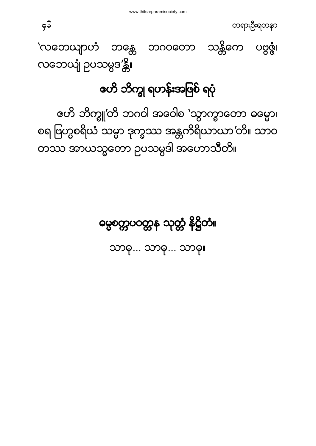

'လဘေယျာဟံ ဘန္တေ ဘဂဝတော သန္တိကေ ပဗ္ဗဇ္ဇံ၊ လဘေယျံ ဉပသမ္ပဒ′န္တိ။

#### ဇဟိ ဘိက္ခု ရဟန်းအဖြစ် ရပုံ

ဧဟိ ဘိက္ခူ'တိ ဘဂဝါ အဝေါစ `သွာက္ခာတော ဓမ္မော၊ စရ ဗြဟ္မစရိယံ သမ္မာ ဒုက္ခဿ အန္တကိရိယာယာ′တိ။ သာဝ လဘာ အာယသ္မတော ဉပသမ္ပဒါ အဟောသီတိ။

မွေစတ္တပဝတ္တန သုတ္တံ နိဋ္ဌိတံ။

သာဓု... သာဓု... သာဓု။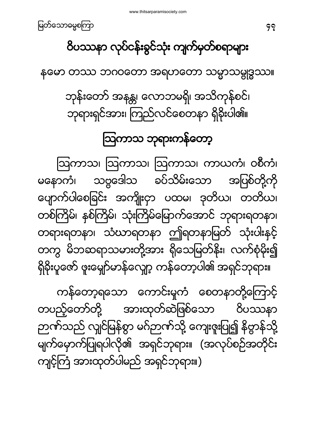ကန်တော့ရသော ကောင်းမှုကံ စေတနာတို့ကြောင့် တပည့်တော်တို့ အားထုတ်ဆဲဖြစ်သော ဝိပဿနာ ဉာဏ်သည် လျင်မြန်စွာ မဂ်ဉာဏ်သို့ ကျေးဇူးပြု၍ နိဗ္ဗာန်သို့ မျက်မှောက်ပြုရပါလို၏ အရှင်ဘုရား။ (အလုပ်စဉ်အတိုင်း ကျင့်ကြံ အားထုတ်ပါမည် အရှင်ဘုရား။)

<span id="page-46-1"></span>ဩကာသ၊ ဩကာသ၊ ဩကာသ၊ ကာယကံ၊ ဝစီကံ၊ မနောကံ၊ သဗ္ဗဒေါသ ခပ်သိမ်းသော အပြစ်တို့ကို ပျောက်ပါစေခြင်း အကျိုးငှာ ပထမ၊ ဒုတိယ၊ တတိယ၊ တစ်ကြိမ်၊ နစ်ကြိမ်၊ သုံးကြိမ်မြောက်အောင် ဘုရားရတနာ၊ တရားရတနာ၊ သံဃာရတနာ ဤရတနာမြတ် သုံးပါးနှင့် တကွ မိဘဆရာသမားတို့အား ရှိသေမြတ်နိုး၊ လက်စုံမိုး၍ ရှိခိုးပူဇော် ဖူးမျှော်မာန်လျှော့ ကန်တော့ပါ၏ အရှင်ဘုရား။

သြကာသ ဘုရားကန်တော့

ဘုန်းတော် အနန္တ၊ လောဘမရှိ၊ အသိကုန်စင်၊ ဘုရားရှင်အား၊ ကြည်လင်စေတနာ ရှိခိုးပါ၏။

နတော တဿ ဘဂဝတော အရဟတော သမ္မာသမ္ဗုဒ္ဓဿ။

ဝိပဿနာ လုပ်ငန်းခွင်သုံး ကျက်မှတ်စရာများ

<span id="page-46-0"></span>47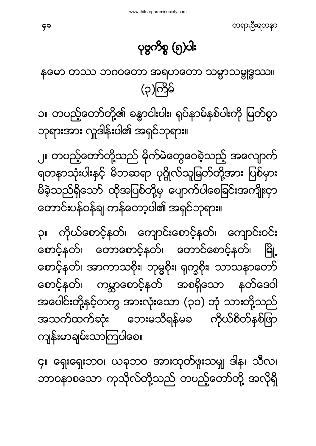၄။ ရှေးရှေးဘဝ၊ ယခုဘဝ အားထုတ်ဖူးသမျ ဒါန၊ သီလ၊ ဘာဝနာစသော ကုသိုလ်တို့သည် တပည့်တော်တို့ အလိုရှိ

၃။ ကိုယ်စောင့်နတ်၊ ကျောင်းစောင့်နတ်၊ ကျောင်းဝင်း စောင့်နတ်၊ တောစောင့်နတ်၊ တောင်စောင့်နတ်၊ မြို့ စောင့်နတ်၊ အာကာသစိုး၊ ဘုမ္မစိုး၊ ရုက္ခစိုး၊ သာသနာတော် စောင့်နတ်၊ ကမ္ဘာစောင့်နတ် အစရှိသော နတ်ဒေဝါ အပေါင်းတို့နှင့်တကွ အားလုံးသော (၃၁) ဘုံ သားတို့သည် အသက်ထက်ဆုံး ဘေးမသီရန်မခ ကိုယ်စိတ်နှစ်ဖြာ ကျန်းမာချမ်းသာကြပါစေ။

၂။ တပည့်တော်တို့သည် မိုက်မဲတွေဝေခဲ့သည့် အလျောက် ရတနာသုံးပါးနင့် မိဘဆရာ ပုဂ္ဂိုလ်သူမြတ်တို့အား ပြစ်မှား မိခဲ့သည်ရှိသော် ထိုအပြစ်တို့မှ ပျောက်ပါစေခြင်းအကျိုးငှာ တောင်းပန်ဝန်ချ ကန်တော့ပါ၏ အရှင်ဘုရား။

၁။ တပည့်တော်တို့၏ ခန္ဓာငါးပါး၊ ရုပ်နာမ်နစ်ပါးကို မြတ်စွာ ဘုရားအား လှူဒါန်းပါ၏ အရှင်ဘုရား။

<span id="page-47-0"></span>နတော တဿ ဘဂဝတော အရဟတော သမ္မာသမ္ဂုဒ္ဓဿ။ (၃)ကြိမ်

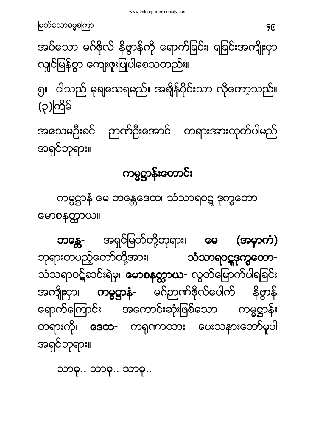သာဓု.. သာဓု.. သာဓု..

ဘန္တေ- အရှင်မြတ်တို့ဘုရား၊ မေ (အမှာကံ) ဘုရားတပည့်တော်တို့အား၊ **သံသာရဝဋ္ဋဒုက္ခတော**-သံသရာဝဋ်ဆင်းရဲမှ၊ **မောစနတ္ထာယ-** လွတ်မြောက်ပါရခြင်း အကျိုးငှာ၊ **ကမ္မဋ္ဌာနံ-** မဂ်ဉာဏ်ဖိုလ်ပေါက် နိဣန် ရောက်ကြောင်း အကောင်းဆုံးဖြစ်သော ကမ္မဌာန်း တရားကို၊ **ဒေထ-** ကရုဏာထား ပေးသနားတော်မူပါ အရှင်ဘုရား။

။

<span id="page-48-0"></span>ကမ္မဋ္ဌာနံ မေ ဘန္တေဒေထ၊ သံသာရဝဋ္ဌ ဒုက္ခတော

#### ကမ္မဋ္ဌာန်းတောင်း

အသေမဦးခင် ဉာဏ်ဦးအောင် တရားအားထုတ်ပါမည် အရှင်ဘုရား။

၅။ ငါသည် မုချသေရမည်။ အချိန်ပိုင်းသာ လိုတော့သည်။ (၃)ကြိမ်

အပ်သော မဂ်ဖိုလ် နိဗ္ဗာန်ကို ရောက်ခြင်း၊ ရခြင်းအကျိုးငှာ လျှင်မြန်စွာ ကျေးဇူးပြုပါစေသတည်း။

မြတ်သောဓမ္မစကြာ မြတ်သော အောက်အား အများ အများ အများ အများ အများ အများ အများ အများ အများ အများ အများ အများ အများ<br>မြတ်သောဓမ္မစကြာ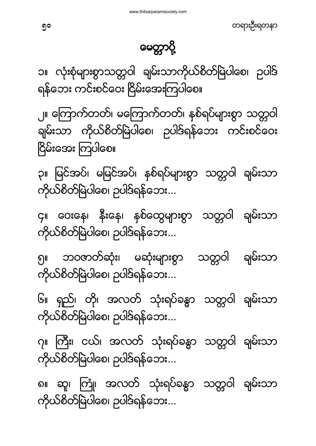တရားဦးရတနာ

#### မေတ္တာပို့

<span id="page-49-0"></span>၁။ လုံးစုံများစွာသတ္တဝါ ချမ်းသာကိုယ်စိတ်မြဲပါစေ၊ ဉပါဒ် ရန်ဘေး ကင်းစင်ဝေး ငြိမ်းအေးကြပါစေ။

၂။ ကြောက်တတ်၊ မကြောက်တတ်၊ နှစ်ရပ်များစွာ သတ္တဝါ ချမ်းသာ ကိုယ်စိတ်မြဲပါစေ၊ ဉပါဒ်ရန်ဘေး ကင်းစင်ဝေး ငြိမ်းအေး ကြပါစေ။

၃။ မြင်အပ်၊ မမြင်အပ်၊ နှစ်ရပ်များစွာ သတ္တဝါ ချမ်းသာ ကိုယ်စိတ်မြဲပါစေ၊ ဉပါဒ်ရန်ဘေး...

၄။ ဝေးနေ၊ နိုးနေ၊ နှစ်ထွေများစွာ သတ္တဝါ ချမ်းသာ ကိုယ်စိတ်မြဲပါစေ၊ ဉပါဒ်ရန်ဘေး...

ချမ်းသာ ၅။ ဘဝဇာတ်ဆုံး၊ မဆုံးများစွာ သတ္တဝါ ကိုယ်စိတ်မြဲပါစေ၊ ဉပါဒ်ရန်ဘေး...

၆။ ရှည်၊ တို၊ အလတ် သုံးရပ်ခန္ဓာ သတ္တဝါ ချမ်းသာ ကိုယ်စိတ်မြဲပါစေ၊ ဉပါဒ်ရန်ဘေး...

၇။ ကြီး၊ ငယ်၊ အလတ် သုံးရပ်ခန္ဓာ သတ္တဝါ ချမ်းသာ ကိုယ်စိတ်မြဲပါစေ၊ ဉပါဒ်ရန်ဘေး...

၈။ ဆူ၊ ကြံူ၊ အလတ် သုံးရပ်ခန္ဓာ သတ္တဝါ ချမ်းသာ ကိုယ်စိတ်မြဲပါစေ၊ ဉပါဒ်ရန်ဘေး...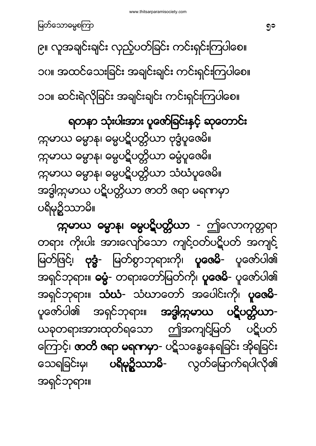**က္ကမာယ ဓမ္မာနု၊ ဓမ္မပဋိပတ္တိယာ -** ဤလောကုတ္တရာ တရား ကိုးပါး အားလျော်သော ကျင့်ဝတ်ပဋိပတ် အကျင့် မြတ်ဖြင့်၊ ဗုဒ္ဓံ- မြတ်စွာဘုရားကို၊ **ပူဇေမိ-** ပူဇော်ပါ၏ အရှင်ဘုရား။ ဓမ္မံ- တရားတော်မြတ်ကို၊ **ပူဇေမိ-** ပူဇော်ပါ၏ အရှင်ဘုရား။ သံဃံ- သံဃာတော် အပေါင်းကို၊ ပူဇေမိ-ပူဇော်ပါ၏ အရှင်ဘုရား။ **အဒ္ဓါက္ကမာယ ပဋိပတ္တိယာ**– ယခုတရားအားထုတ်ရသော ဤအကျင်မြတ် ပဋိပတ် ကြောင့်၊ **ဏတိ ဇရာ မရကမှာ-** ပဋိသန္ဓေနေရခြင်း အိုရခြင်း သေရခြင်းမှ၊ **ပရိမု၌ဿာမိ-** လွတ်မြောက်ရပါလို၏ အရင်ဘုရား။

<span id="page-50-0"></span>ရတနာ သုံးပါးအား ပူဇော်ခြင်းနှင့် ဆုတောင်း က္ကမာယ ဓမ္မာန၊ ဓမ္မပဋိပတ္တိယာ ဗုဒ္ဓံပူဇေမိ။ က္ဂမာယ ဓမ္မာန၊ ဓမ္မပဋိပတ္တိယာ ဓမ္မံပူဇေမိ။ က္ပမာယ ဓမ္မာန၊ ဓမ္မပဋိပတ္တိယာ သံဃံပူဇေမိ။ အဒ္ဓါက္ကမာယ ပဋိပတ္တိယာ ဇာတိ ဇရာ မရကမှာ ပရိမုဒ္ဓိဿာမိ။

၉။ လူအချင်းချင်း လှည့်ပတ်ခြင်း ကင်းရှင်းကြပါစေ။ ၁ဂ။ အထင်သေးခြင်း အချင်းချင်း ကင်းရှင်းကြပါစေ။ ၁၁။ ဆင်းရဲလိုခြင်း အချင်းချင်း ကင်းရှင်းကြပါစေ။

မြတ်သောဓမ္မစကြာ မြတ်သော အောက်အောက် များ အောက်အောက် များ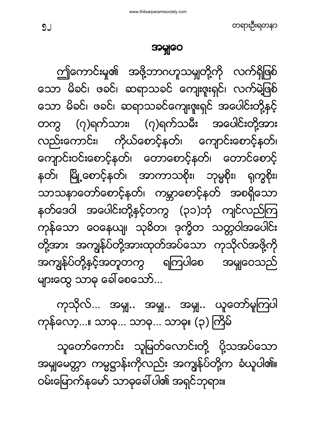အမှုျဝေ

တရားဦးရတနာ

<span id="page-51-0"></span>ဤကောင်းမှု၏ အဖို့ဘာဂဟူသမျှတို့ကို လက်ရှိဖြစ် သော မိခင်၊ ဖခင်၊ ဆရာသခင် ကျေးဇူးရှင်၊ လက်မဲ့ဖြစ် သော မိခင်၊ ဖခင်၊ ဆရာသခင်ကျေးဇူးရှင် အပေါင်းတို့နှင့် တကွ (၇)ရက်သား၊ (၇)ရက်သမီး အပေါင်းတို့အား လည်းကောင်း၊ ကိုယ်စောင့်နတ်၊ ကျောင်းစောင့်နတ်၊ ကျောင်းဝင်းစောင့်နတ်၊ တောစောင့်နတ်၊ တောင်စောင့် နတ်၊ မြို့စောင့်နတ်၊ အာကာသစိုး၊ ဘုမ္မစိုး၊ ရုက္ခစိုး၊ သာသနာတော်စောင့်နတ်၊ ကမ္ဘာစောင့်နတ် အစရှိသော နတ်ဒေဝါ အပေါင်းတို့နှင့်တကွ (၃၁)ဘုံ ကျင်လည်ကြ ကုန်သော ဝေနေယျ၊ သုခိတ၊ ဒုက္ခိတ သတ္တဝါအပေါင်း တို့အား အကျွန်ုပ်တို့အားထုတ်အပ်သော ကုသိုလ်အဖို့ကို အကျွန်ုပ်တို့နှင့်အတူတကွ ရကြပါစေ အမျဝေသည် များထွေ သာဓု ခေါ် စေသော်...

ကုသိုလ်... အမှုု.. အမှုု.. အမှုု.. ယူတော်မူကြပါ ကုန်လော့...။ သာဓု... သာဓု... သာဓု။ (၃) ကြိမ်

သူတော်ကောင်း သူမြတ်လောင်းတို့ ပို့သအပ်သော အမျမေတ္တာ ကမ္မဋ္ဌာန်းကိုလည်း အကျွန်ုပ်တို့က ခံယူပါ၏။ ဝမ်းမြောက်နမော် သာဓုခေါ် ပါ၏ အရှင်ဘုရား။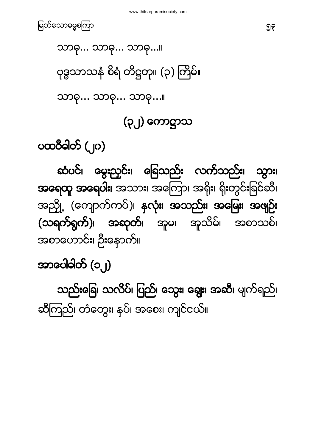အာပေါဓါတ် (၁၂) သည်းခြေ၊ သလိပ်၊ ပြည်၊ သွေး၊ ချွေး၊ အဆီ၊ မျက်ရည်၊ ဆီကြည်၊ တံတွေး၊ နပ်၊ အစေး၊ ကျင်ငယ်။

ဆံပင်၊ မွေးညှင်း၊ ခြေသည်း လက်သည်း၊ သွား၊ အရေထူ အရေပါး၊ အသား၊ အကြော၊ အရိုး၊ ရိုးတွင်းခြင်ဆီ၊ အညှို့ (ကျောက်ကပ်)၊ နှလုံး၊ အသည်း၊ အမြေး၊ အဖျဉ်း (သရက်ရွက်)၊ အဆုတ်၊ အူမ၊ အူသိမ်၊ အစာသစ်၊ အစာဟောင်း၊ ဦးနောက်။

<span id="page-52-0"></span>ပထဝီဓါတ် (၂၀)

(၃၂

သာဓု... သာဓု... သာဓု...။

ဗုဒ္ဓသာသနံ စိရံ တိဋ္ဌတု။ (၃) ကြိမ်။

သာဓု... သာဓု... သာဓု...။

မြတ်သောဓမ္မစကြာ မြန်မာနိုင်ငံ အားဝမ်း အားဝမ်း အားဝမ်း အားဝမ်း အားဝမ်း အားဝမ်း အားဝမ်း အ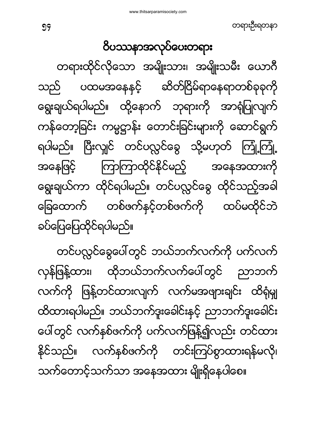တင်ပလ္လင်ခွေပေါ်တွင် ဘယ်ဘက်လက်ကို ပက်လက် လှန်ဖြန့်ထား၊ ထိုဘယ်ဘက်လက်ပေါ်တွင် ညာဘက် လက်ကို ဖြန့်တင်ထားလျက် လက်မအဖျားချင်း ထိရုံမျ ထိထားရပါမည်။ ဘယ်ဘက်ဒူးခေါင်းနှင့် ညာဘက်ဒူးခေါင်း ပေါ်တွင် လက်နစ်ဖက်ကို ပက်လက်ဖြန့်၍လည်း တင်ထား နိုင်သည်။ လက်နစ်ဖက်ကို တင်းကြပ်စွာထားရန်မလို၊ သက်တောင့်သက်သာ အနေအထား မျိုးရှိနေပါစေ။

<span id="page-53-0"></span>ဝိပဿနာအလုပ်ပေးတရား တရားထိုင်လိုသော အမျိုးသား၊ အမျိုးသမီး ယောဂီ ပထမအနေနှင့် ဆိတ်ငြိမ်ရာနေရာတစ်ခုခုကို သည် ရွေးချယ်ရပါမည်။ ထို့နောက် ဘုရားကို အာရုံပြုလျက် ကန်တော့ခြင်း ကမ္မဋ္ဌာန်း တောင်းခြင်းများကို ဆောင်ရွက် ရပါမည်။ ပြီးလျှင် တင်ပလ္လင်ခွေ သို့မဟုတ် ကြုံ့ကြုံ့ ကြာကြာထိုင်နိုင်မည့် အနေဖြင့် အနေအထားကို ရွေးချယ်ကာ ထိုင်ရပါမည်။ တင်ပလ္လင်ခွေ ထိုင်သည့်အခါ တစ်ဖက်နှင့်တစ်ဖက်ကို ထပ်မထိုင်ဘဲ ခြေထောက် ခပ်ပြေပြေထိုင်ရပါမည်။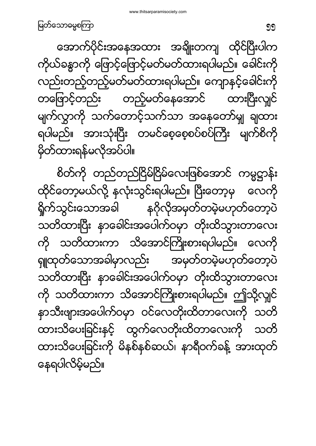အောက်ပိုင်းအနေအထား အချိုးတကျ ထိုင်ပြီးပါက ကိုယ်ခန္ဓာကို ဖြောင့်ဖြောင့်မတ်မတ်ထားရပါမည်။ ခေါင်းကို လည်းတည့်တည့်မတ်မတ်ထားရပါမည်။ ကျောနှင့်ခေါင်းကို တဖြောင့်တည်း တည့်မတ်နေအောင် ထားပြီးလျှင် မျက်လွှာကို သက်တောင့်သက်သာ အနေတော်မူ ချထား မျက်စိကို ရပါမည်။ အားသုံးပြီး တမင်စေ့စေ့စပ်စပ်ကြီး မှိတ်ထားရန်မလိုအပ်ပါ။

စိတ်ကို တည်တည်ငြိမ်ငြိမ်လေးဖြစ်အောင် ကမ္မဋ္ဌာန်း ထိုင်တော့မယ်လို့ နလုံးသွင်းရပါမည်။ ပြီးတော့မှ လေကို ရှိုက်သွင်းသောအခါ နဂိုလိုအမှတ်တမဲ့မဟုတ်တော့ပဲ သတိထားပြီး နာခေါင်းအပေါက်ဝမှာ တိုးထိသွားတာလေး ကို သတိထားကာ သိအောင်ကြိုးစားရပါမည်။ လေကို ရှူထုတ်သောအခါမှာလည်း အမှတ်တမဲ့မဟုတ်တော့ပဲ သတိထားပြီး နာခေါင်းအပေါက်ဝမှာ တိုးထိသွားတာလေး ကို သတိထားကာ သိအောင်ကြိုးစားရပါမည်။ ဤသို့လျင် နာသီးဖျားအပေါက်ဝမှာ ဝင်လေတိုးထိတာလေးကို သတိ ထားသိပေးခြင်းနှင့် ထွက်လေတိုးထိတာလေးကို သတိ ထားသိပေးခြင်းကို မိနစ်နစ်ဆယ်၊ နာရီဝက်ခန့် အားထုတ် နေရပါလိမ့်မည်။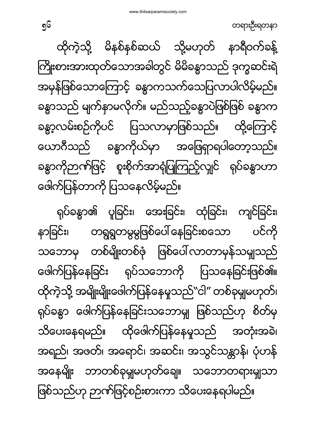ရုပ်ခန္ဓာ၏ ပူခြင်း၊ အေးခြင်း၊ ထုံခြင်း၊ ကျင်ခြင်း၊ နာခြင်း၊ တရွရွတမွမွဖြစ်ပေါ်နေခြင်းစသော ပင်ကို သဘောမှ တစ်မျိုးတစ်ဖုံ ဖြစ်ပေါ်လာတာမှန်သမျှသည် ဖေါက်ပြန်နေခြင်း ရုပ်သဘောကို ပြသနေခြင်းဖြစ်၏။ ထိုကဲ့သို့ အမျိုးမျိုးဖေါက်ပြန်နေမှုသည်"ငါ" တစ်ခုမျှမဟုတ်၊ ရုပ်ခန္ဓာ ဖေါက်ပြန်နေခြင်းသဘောမျှ ဖြစ်သည်ဟု စိတ်မှ သိပေးနေရမည်။ ထိုဖေါက်ပြန်နေမှုသည် အတုံးအခဲ၊ အရည်၊ အဖတ်၊ အရောင်၊ အဆင်း၊ အသွင်သန္တာန်၊ ပုံဟန် အနေမျိုး ဘာတစ်ခုမှုျမဟုတ်ချေ။ သဘောတရားမျသာ ဖြစ်သည်ဟု ဉာဏ်ဖြင့်စဉ်းစားကာ သိပေးနေရပါမည်။

ထိုကဲ့သို့ မိနစ်နစ်ဆယ် သို့မဟုတ် နာရီဝက်ခန့် ကြိုးစားအားထုတ်သောအခါတွင် မိမိခန္ဓာသည် ဒုက္ခဆင်းရဲ အမှန်ဖြစ်သောကြောင့် ခန္ဓာကသက်သေပြလာပါလိမ့်မည်။ ခန္ဓာသည် မျက်နာမလိုက်။ မည်သည့်ခန္ဓာပဲဖြစ်ဖြစ် ခန္ဓာက ခန္ဓာ့လမ်းစဉ်ကိုပင် ပြသလာမှာဖြစ်သည်။ ထို့ကြောင့် ယောဂီသည် ခန္ဓာကိုယ်မှာ အဖြေရှာရပါတော့သည်။ ခန္ဓာကိုဉာဏ်ဖြင့် စူးစိုက်အာရုံပြုကြည့်လျှင် ရုပ်ခန္ဓာဟာ ဖေါက်ပြန်တာကို ပြသနေလိမ့်မည်။

တရားဦးရတနာ

56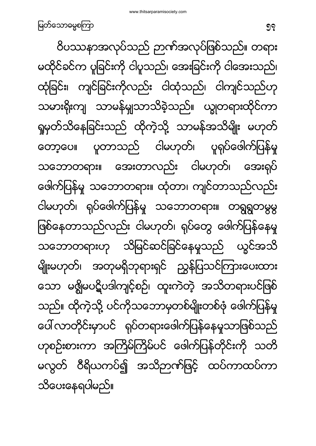ဝိပဿနာအလုပ်သည် ဉာဏ်အလုပ်ဖြစ်သည်။ တရား မထိုင်ခင်က ပူခြင်းကို ငါပူသည်၊ အေးခြင်းကို ငါအေးသည်၊ ထုံခြင်း၊ ကျင်ခြင်းကိုလည်း ငါထုံသည်၊ ငါကျင်သည်ဟု သမားရိုးကျ သာမန်မျှသာသိခဲ့သည်။ ယျွတရားထိုင်ကာ ရှုမှတ်သိနေခြင်းသည် ထိုကဲ့သို့ သာမန်အသိမျိုး မဟုတ် တော့ပေ။ ပူတာသည် ငါမဟုတ်၊ ပူရုပ်ဖေါက်ပြန်မှု သဘောတရား။ အေးတာလည်း ငါမဟုတ်၊ အေးရုပ် ဖေါက်ပြန်မှု သဘောတရား။ ထုံတာ၊ ကျင်တာသည်လည်း ငါမဟုတ်၊ ရုပ်ဖေါက်ပြန်မှု သဘောတရား။ တရွရွတမွမွ ဖြစ်နေတာသည်လည်း ငါမဟုတ်၊ ရုပ်တွေ ဖေါက်ပြန်နေမှု သဘောတရားဟု သိမြင်ဆင်ခြင်နေမှုသည် ယွင်အသိ မျိုးမဟုတ်၊ အတုမရှိဘုရားရှင် ညွှန်ပြသင်ကြားပေးထား သော မရွိမပဋိပဒါကျင့်စဉ်၊ ထူးကဲတဲ့ အသိတရားပင်ဖြစ် သည်။ ထိုကဲ့သို့ ပင်ကိုသဘောမှတစ်မျိုးတစ်ဖုံ ဖေါက်ပြန်မှု ပေါ် လာတိုင်းမှာပင် ရုပ်တရားဖေါက်ပြန်နေမှုသာဖြစ်သည် ဟုစဉ်းစားကာ အကြိမ်ကြိမ်ပင် ဖေါက်ပြန်တိုင်းကို သတိ မလွတ် ဝီရိယကပ်၍ အသိဉာဏ်ဖြင့် ထပ်ကာထပ်ကာ သိပေးနေရပါမည်။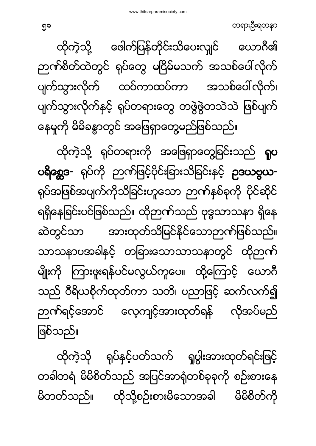ထိုကဲ့သို ရုပ်နှင့်ပတ်သက် ရှုပွါးအားထုတ်ရင်းဖြင့် တခါတရံ မိမိစိတ်သည် အပြင်အာရုံတစ်ခုခုကို စဉ်းစားနေ မိတတ်သည်။ ထိုသို့စဉ်းစားမိသောအခါ မိမိစိတ်ကိ

ဖြစ်သည်။

ထိုကဲ့သို့ ရုပ်တရားကို အဖြေရှာတွေ့ခြင်းသည် **ရူပ** ပရိစ္ဆေဒ- ရုပ်ကို ဉာဏ်ဖြင့်ပိုင်းခြားသိခြင်းနှင့် **ဥဒယဗွယ**-ရုပ်အဖြစ်အပျက်ကိုသိခြင်းဟူသော ဉာဏ်နှစ်ခုကို ပိုင်ဆိုင် ရရှိနေခြင်းပင်ဖြစ်သည်။ ထိုဉာဏ်သည် ဗုဒ္ဓသာသနာ ရှိနေ ဆဲတွင်သာ အားထုတ်သိမြင်နိုင်သောဉာဏ်ဖြစ်သည်။ သာသနာပအခါနင့် တခြားသောသာသနာတွင် ထိုဉာဏ် မျိုးကို ကြားဖူးရန်ပင်မလွယ်ကူပေ။ ထို့ကြောင့် ယောဂီ သည် ဝီရိယစိုက်ထုတ်ကာ သတိ၊ ပညာဖြင့် ဆက်လက်၍ ဉာဏ်ရင့်အောင် လေ့ကျင့်အားထုတ်ရန် လိုအပ်မည်

ထိုကဲ့သို့ ဖေါက်ပြန်တိုင်းသိပေးလျှင် ယောဂီ၏ ဉာဏ်စိတ်ထဲတွင် ရုပ်တွေ မငြိမ်မသက် အသစ်ပေါ်လိုက် ပျက်သွားလိုက် ထပ်ကာထပ်ကာ အသစ်ပေါ်လိုက်၊ ပျက်သွားလိုက်နှင့် ရုပ်တရားတွေ တဖွဲဖွဲတသဲသဲ ဖြစ်ပျက် နေမှုကို မိမိခန္ဓာတွင် အဖြေရှာတွေမည်ဖြစ်သည်။

တရားဦးရတနာ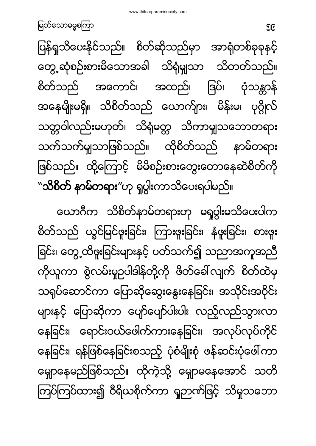ယောဂီက သိစိတ်နာမ်တရားဟု မရှုပွါးမသိပေးပါက စိတ်သည် ယွင်မြင်ဖူးခြင်း၊ ကြားဖူးခြင်း၊ နံဖူးခြင်း၊ စားဖူး ခြင်း၊ တွေ့ထိဖူးခြင်းများနှင့် ပတ်သက်၍ သညာအကူအညီ ကိုယူကာ စွဲလမ်းမှုဉပါဒါန်တို့ကို ဖိတ်ခေါ်လျက် စိတ်ထဲမှ သရုပ်ဆောင်ကာ ပြောဆိုဆွေးနွေးနေခြင်း၊ အသိုင်းအဝိုင်း များနှင့် ပြောဆိုကာ ပျော်ပျော်ပါးပါး လည့်လည်သွားလာ နေခြင်း၊ ရောင်းဝယ်ဖေါက်ကားနေခြင်း၊ အလုပ်လုပ်ကိုင် နေခြင်း၊ ရန်ဖြစ်နေခြင်းစသည့် ပုံစံမျိုးစုံ ဖန်ဆင်းပုံဖေါ်ကာ မျောနေမည်ဖြစ်သည်။ ထိုကဲ့သို့ မျှောမနေအောင် သတိ ကြပ်ကြပ်ထား၍ ဝီရိယစိုက်ကာ ရှုဉာဏ်ဖြင့် သိမှုသဘော

ပြန်ရှုသိပေးနိုင်သည်။ စိတ်ဆိုသည်မှာ အာရုံတစ်ခုခုနှင့် တွေ့ဆုံစဉ်းစားမိသောအခါ သိရုံမျှသာ သိတတ်သည်။ စိတ်သည် အကောင်၊ အထည်၊ ဒြပ်၊ ပုံသန္တာန် အနေမျိုးမရှိ။ သိစိတ်သည် ယောက်ျား၊ မိန်းမ၊ ပုဂ္ဂိုလ် သတ္တဝါလည်းမဟုတ်၊ သိရုံမတ္တ သိကာမျှသဘောတရား သက်သက်မျသာဖြစ်သည်။ ထိုစိတ်သည် နာမ်တရား ဖြစ်သည်။ ထို့ကြောင့် မိမိစဉ်းစားတွေးတောနေဆဲစိတ်ကို ``**သိစိတ် နာမ်တရား**″ဟု ရှုပွါးကာသိပေးရပါမည်။

<u>မြ</u>တ်သောဓမ္မစကြာ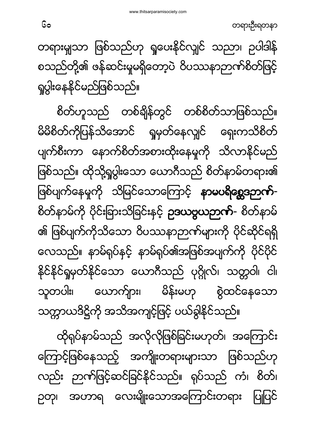ထိုရှပ်နာမ်သည် အလိုလိုဖြစ်ခြင်းမဟုတ်၊ အကြောင်း ကြောင့်ဖြစ်နေသည့် အကျိုးတရားများသာ ဖြစ်သည်ဟု လည်း ဉာဏ်ဖြင့်ဆင်ခြင်နိုင်သည်။ ရုပ်သည် ကံ၊ စိတ်၊ ပြုပြင် ဉတု၊ အဟာရ လေးမျိုးသောအကြောင်းတရား

စိတ်ဟူသည် တစ်ချိန်တွင် တစ်စိတ်သာဖြစ်သည်။ မိမိစိတ်ကိုပြန်သိအောင် ရှုမှတ်နေလျှင် ရှေးကသိစိတ် ပျက်စီးကာ နောက်စိတ်အစားထိုးနေမှုကို သိလာနိုင်မည် ဖြစ်သည်။ ထိုသို့ရှုပွါးသော ယောဂီသည် စိတ်နာမ်တရား၏ ဖြစ်ပျက်နေမှုကို သိမြင်သောကြောင့် **နာမပရိစ္ဆေဒဉာက်**-စိတ်နာမ်ကို ပိုင်းခြားသိခြင်းနှင့် **ဥဒယဗ္ဗယဉာဏ်-** စိတ်နာမ် ၏ ဖြစ်ပျက်ကိုသိသော ဝိပဿနာဉာဏ်များကို ပိုင်ဆိုင်ရရှိ လေသည်။ နာမ်ရုပ်နှင့် နာမ်ရုပ်၏အဖြစ်အပျက်ကို ပိုင်ပိုင် နိုင်နိုင်ရှုမှတ်နိုင်သော ယောဂီသည် ပုဂ္ဂိုလ်၊ သတ္တဝါ၊ ငါ၊ သူတပါး၊ ယောက်ျား၊ မိန်းမဟု စွဲထင်နေသော သက္ကာယဒိဋ္ဌိကို အသိအကျင့်ဖြင့် ပယ်ခွါနိုင်သည်။

တရားမျှသာ ဖြစ်သည်ဟု ရှုပေးနိုင်လျှင် သညာ၊ ဉပါဒါန် စသည်တို့၏ ဖန်ဆင်းမှုမရှိတော့ပဲ ဝိပဿနာဉာဏ်စိတ်ဖြင့် ရှပွါးနေနိုင်မည်ဖြစ်သည်။

တရားဦးရတနာ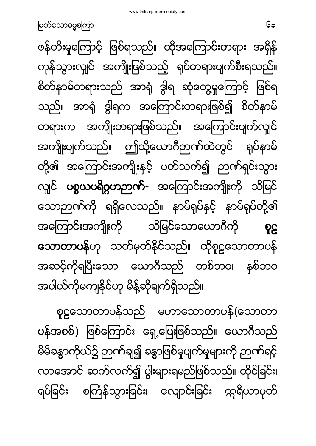စူဠသောတာပန်သည် မဟာသောတာပန်(သောတာ ပန်အစစ်) ဖြစ်ကြောင်း ရှေ့ပြေးဖြစ်သည်။ ယောဂီသည် မိမိခန္ဓာကိုယ်၌ ဉာဏ်ချ၍ ခန္ဓာဖြစ်မှုပျက်မှုများကို ဉာဏ်ရင့် လာအောင် ဆက်လက်၍ ပွါးများရမည်ဖြစ်သည်။ ထိုင်ခြင်း၊ ရပ်ခြင်း၊ စင်္ကြန်သွားခြင်း၊ လျောင်းခြင်း ကုရိယာပုတ်

ဖန်တီးမှုကြောင့် ဖြစ်ရသည်။ ထိုအကြောင်းတရား အရှိန် ကုန်သွားလျှင် အကျိုးဖြစ်သည့် ရုပ်တရားပျက်စီးရသည်။ စိတ်နာမ်တရားသည် အာရုံ ဒွါရ ဆုံတွေ့မှုကြောင့် ဖြစ်ရ သည်။ အာရုံ ဒွါရက အကြောင်းတရားဖြစ်၍ စိတ်နာမ် တရားက အကျိုးတရားဖြစ်သည်။ အကြောင်းပျက်လျှင် အကျိုးပျက်သည်။ ဤသို့ယောဂီဉာဏ်ထဲတွင် ရုပ်နာမ် တို့၏ အကြောင်းအကျိုးနှင့် ပတ်သက်၍ ဉာဏ်ရှင်းသွား လျင် ပစ္စယပရိဂ္ဂဟဉာဏ်- အကြောင်းအကျိုးကို သိမြင် သောဉာဏ်ကို ရရှိလေသည်။ နာမ်ရုပ်နှင့် နာမ်ရုပ်တို့၏ အကြောင်းအကျိုးကို သိမြင်သောယောဂီကို **PE** သောတာပန်ဟု သတ်မှတ်နိုင်သည်။ ထိုစူဠသောတာပန် အဆင့်ကိုရပြီးသော ယောဂီသည် တစ်ဘဝ၊ နစ်ဘဝ အပါယ်ကိုမကျနိုင်ဟု မိန့်ဆိုချက်ရှိသည်။

<u>မြတ်သောဓမ္မစကြာ သားသား အားသား အားသား အားသား အ</u>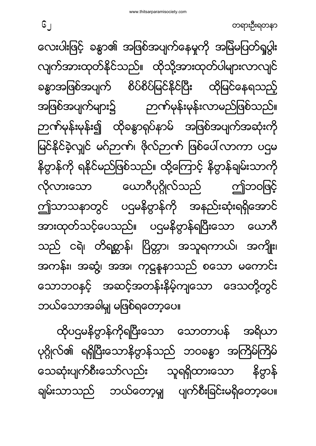ထိုပဌမနိဗ္ဗာန်ကိုရပြီးသော သောတာပန် အရိယာ ပုဂ္ဂိုလ်၏ ရရှိပြီးသောနိဗ္ဗာန်သည် ဘဝခန္ဓာ အကြိမ်ကြိမ် သေဆုံးပျက်စီးသော်လည်း သူရရှိထားသော နိဣန် ချမ်းသာသည် ဘယ်တော့မှုု ပျက်စီးခြင်းမရှိတော့ပေ။

လေးပါးဖြင့် ခန္ဓာ၏ အဖြစ်အပျက်နေမှုကို အမြဲမပြတ်ရှုပွါး လျက်အားထုတ်နိုင်သည်။ ထိုသို့အားထုတ်ပါများလာလျင် ခန္ဓာအဖြစ်အပျက် စိပ်စိပ်မြင်နိုင်ပြီး ထိုမြင်နေရသည့် အဖြစ်အပျက်များ၌ ဉာဏ်မုန်းမုန်းလာမည်ဖြစ်သည်။ ဉာဏ်မုန်းမုန်း၍ ထိုခန္ဓာရုပ်နာမ် အဖြစ်အပျက်အဆုံးကို မြင်နိုင်ခဲ့လျှင် မဂ်ဉာဏ်၊ ဗိုလ်ဉာဏ် ဖြစ်ပေါ်လာကာ ပဌမ နိဗ္ဗာန်ကို ရနိုင်မည်ဖြစ်သည်။ ထို့ကြောင့် နိဗ္ဗာန်ချမ်းသာကို လိုလားသော ယောဂီပုဂ္ဂိုလ်သည် ဤဘဝဖြင့် ဤသာသနာတွင် ပဌမနိဗ္ဗာန်ကို အနည်းဆုံးရရှိအောင် အားထုတ်သင့်ပေသည်။ ပဌမနိဗ္ဗာန်ရပြီးသော ယောဂီ သည် ငရဲ၊ တိရစ္ဆာန်၊ ပြိတ္တာ၊ အသူရကာယ်၊ အကျိုး၊ အကန်း၊ အဆွံ့၊ အအ၊ ကုဋ္ဌနုနာသည် စသော မကောင်း သောဘဝနှင့် အဆင့်အတန်းနိမ့်ကျသော ဒေသတို့တွင် ဘယ်သောအခါမျှ မဖြစ်ရတော့ပေ။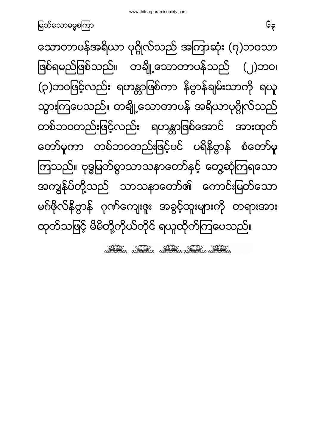STAR STAR STAR STAR STAR

သောတာပန်အရိယာ ပုဂ္ဂိုလ်သည် အကြာဆုံး (၇)ဘဝသာ ဖြစ်ရမည်ဖြစ်သည်။ တချို့သောတာပန်သည် (၂)ဘဝ၊ (၃)ဘဝဖြင့်လည်း ရဟန္တာဖြစ်ကာ နိဗ္ဗာန်ချမ်းသာကို ရယူ သွားကြပေသည်။ တချို့သောတာပန် အရိယာပုဂ္ဂိုလ်သည် တစ်ဘဝတည်းဖြင့်လည်း ရဟန္တာဖြစ်အောင် အားထုတ် တော်မူကာ တစ်ဘဝတည်းဖြင့်ပင် ပရိနိဗ္ဗာန် စံတော်မူ ကြသည်။ ဗုဒ္ဓမြတ်စွာသာသနာတော်နှင့် တွေ့ဆုံကြရသော အကျွန်ပ်တို့သည် သာသနာတော်၏ ကောင်းမြတ်သော မဂ်ဖိုလ်နိဗ္ဗာန် ဂုဏ်ကျေးဇူး အခွင့်ထူးများကို တရားအား ထုတ်သဖြင့် မိမိတို့ကိုယ်တိုင် ရယူထိုက်ကြပေသည်။

<u>မြတ်သောဓမ္မစကြာ</u>